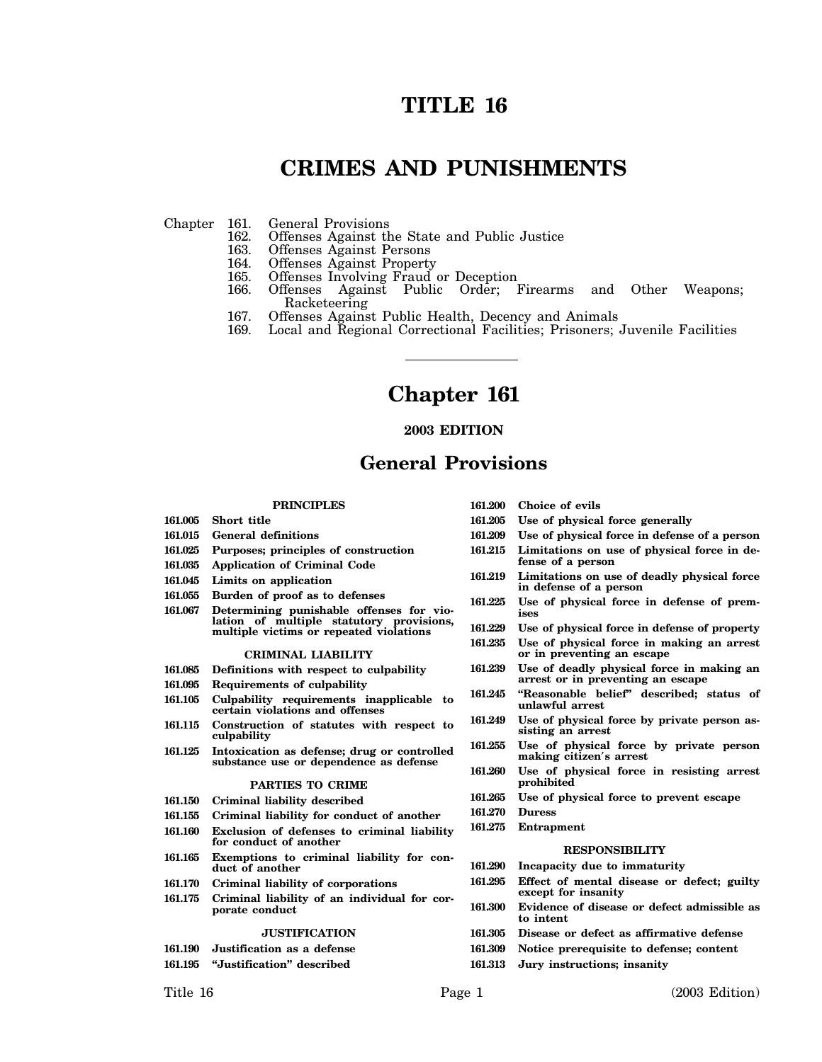# **TITLE 16**

# **CRIMES AND PUNISHMENTS**

- Chapter 161. General Provisions<br>162. Offenses Against th 162. Offenses Against the State and Public Justice 163. Offenses Against Persons
	- 163. Offenses Against Persons<br>164. Offenses Against Property
	- 164. Offenses Against Property<br>165. Offenses Involving Fraud
	-
	- 165. Offenses Involving Fraud or Deception<br>166. Offenses Against Public Order: Against Public Order; Firearms and Other Weapons; Racketeering
	- 167. Offenses Against Public Health, Decency and Animals 169. Local and Regional Correctional Facilities: Prisoners:
	- Local and Regional Correctional Facilities; Prisoners; Juvenile Facilities

# **Chapter 161**

## **2003 EDITION**

## **General Provisions**

#### **PRINCIPLES**

- **161.005 Short title 161.015 General definitions**
- 
- **161.025 Purposes; principles of construction**
- **161.035 Application of Criminal Code**
- **161.045 Limits on application**
- **161.055 Burden of proof as to defenses**
- **161.067 Determining punishable offenses for violation of multiple statutory provisions, multiple victims or repeated violations**

#### **CRIMINAL LIABILITY**

- **161.085 Definitions with respect to culpability**
- **161.095 Requirements of culpability**
- **161.105 Culpability requirements inapplicable to certain violations and offenses**
- **161.115 Construction of statutes with respect to culpability**
- **161.125 Intoxication as defense; drug or controlled substance use or dependence as defense**

#### **PARTIES TO CRIME**

- **161.150 Criminal liability described**
- **161.155 Criminal liability for conduct of another**
- **161.160 Exclusion of defenses to criminal liability**
- **for conduct of another**
- **161.165 Exemptions to criminal liability for conduct of another**
- **161.170 Criminal liability of corporations**
- **161.175 Criminal liability of an individual for corporate conduct**

#### **JUSTIFICATION**

- **161.190 Justification as a defense**
- **161.195 "Justification" described**
- 
- **161.200 Choice of evils**
- **161.205 Use of physical force generally**
- **161.209 Use of physical force in defense of a person**
- **161.215 Limitations on use of physical force in defense of a person**
- **161.219 Limitations on use of deadly physical force in defense of a person**
- **161.225 Use of physical force in defense of premises**
- **161.229 Use of physical force in defense of property**
- **161.235 Use of physical force in making an arrest or in preventing an escape**
- **161.239 Use of deadly physical force in making an arrest or in preventing an escape**
- **161.245 "Reasonable belief" described; status of unlawful arrest**
- **161.249 Use of physical force by private person assisting an arrest**
- **161.255 Use of physical force by private person making citizen**′**s arrest**
- **161.260 Use of physical force in resisting arrest prohibited**
- **161.265 Use of physical force to prevent escape**
- **161.270 Duress**
- **161.275 Entrapment**

#### **RESPONSIBILITY**

- **161.290 Incapacity due to immaturity**
- **161.295 Effect of mental disease or defect; guilty except for insanity**
- **161.300 Evidence of disease or defect admissible as to intent**
- **161.305 Disease or defect as affirmative defense**
- **161.309 Notice prerequisite to defense; content**
- **161.313 Jury instructions; insanity**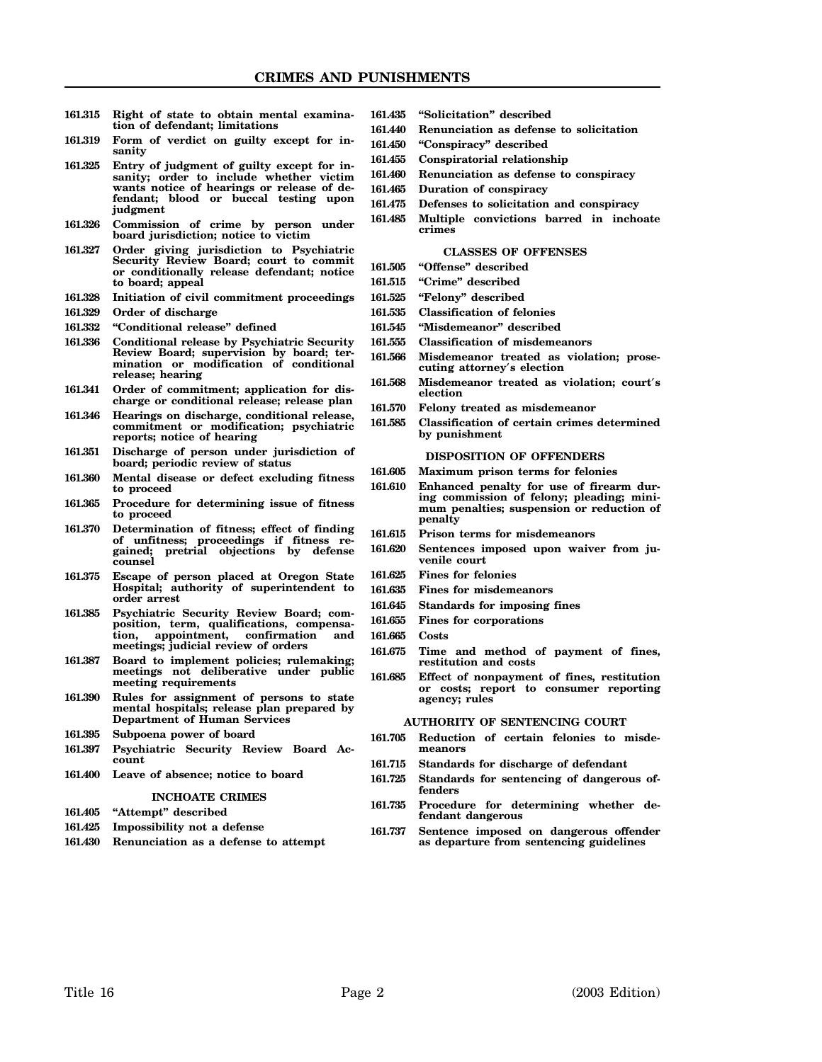- **161.315 Right of state to obtain mental examination of defendant; limitations**
- **161.319 Form of verdict on guilty except for insanity**
- **161.325 Entry of judgment of guilty except for insanity; order to include whether victim wants notice of hearings or release of defendant; blood or buccal testing upon judgment**
- **161.326 Commission of crime by person under board jurisdiction; notice to victim**
- **161.327 Order giving jurisdiction to Psychiatric Security Review Board; court to commit or conditionally release defendant; notice to board; appeal**
- **161.328 Initiation of civil commitment proceedings**
- **161.329 Order of discharge**
- **161.332 "Conditional release" defined**
- **161.336 Conditional release by Psychiatric Security Review Board; supervision by board; termination or modification of conditional release; hearing**
- **161.341 Order of commitment; application for discharge or conditional release; release plan**
- **161.346 Hearings on discharge, conditional release, commitment or modification; psychiatric reports; notice of hearing**
- **161.351 Discharge of person under jurisdiction of board; periodic review of status**
- **161.360 Mental disease or defect excluding fitness to proceed**
- **161.365 Procedure for determining issue of fitness to proceed**
- **161.370 Determination of fitness; effect of finding of unfitness; proceedings if fitness regained; pretrial objections by defense counsel**
- **161.375 Escape of person placed at Oregon State Hospital; authority of superintendent to order arrest**
- **161.385 Psychiatric Security Review Board; composition, term, qualifications, compensation, appointment, confirmation and meetings; judicial review of orders**
- **161.387 Board to implement policies; rulemaking; meetings not deliberative under public meeting requirements**
- **161.390 Rules for assignment of persons to state mental hospitals; release plan prepared by Department of Human Services**
- **161.395 Subpoena power of board**
- **161.397 Psychiatric Security Review Board Account**
- **161.400 Leave of absence; notice to board**

## **INCHOATE CRIMES**

## **161.405 "Attempt" described**

- **161.425 Impossibility not a defense**
- **161.430 Renunciation as a defense to attempt**
- **161.435 "Solicitation" described**
- **161.440 Renunciation as defense to solicitation**
- **161.450 "Conspiracy" described**
- **161.455 Conspiratorial relationship**
- **161.460 Renunciation as defense to conspiracy**
- **161.465 Duration of conspiracy**
- **161.475 Defenses to solicitation and conspiracy**
- **161.485 Multiple convictions barred in inchoate crimes**

#### **CLASSES OF OFFENSES**

- **161.505 "Offense" described**
- **161.515 "Crime" described**
- **161.525 "Felony" described**
- **161.535 Classification of felonies**
- **161.545 "Misdemeanor" described**
- **161.555 Classification of misdemeanors**
- **161.566 Misdemeanor treated as violation; prosecuting attorney**′**s election**
- **161.568 Misdemeanor treated as violation; court**′**s election**
- **161.570 Felony treated as misdemeanor**
- **161.585 Classification of certain crimes determined by punishment**

#### **DISPOSITION OF OFFENDERS**

- **161.605 Maximum prison terms for felonies**
- **161.610 Enhanced penalty for use of firearm during commission of felony; pleading; minimum penalties; suspension or reduction of penalty**
- **161.615 Prison terms for misdemeanors**
- **161.620 Sentences imposed upon waiver from juvenile court**
- **161.625 Fines for felonies**
- **161.635 Fines for misdemeanors**
- **161.645 Standards for imposing fines**
- **161.655 Fines for corporations**
- **161.665 Costs**
	- **161.675 Time and method of payment of fines, restitution and costs**
	- **161.685 Effect of nonpayment of fines, restitution or costs; report to consumer reporting agency; rules**

#### **AUTHORITY OF SENTENCING COURT**

- **161.705 Reduction of certain felonies to misdemeanors**
- **161.715 Standards for discharge of defendant**
- **161.725 Standards for sentencing of dangerous offenders**
- **161.735 Procedure for determining whether defendant dangerous**
- **161.737 Sentence imposed on dangerous offender as departure from sentencing guidelines**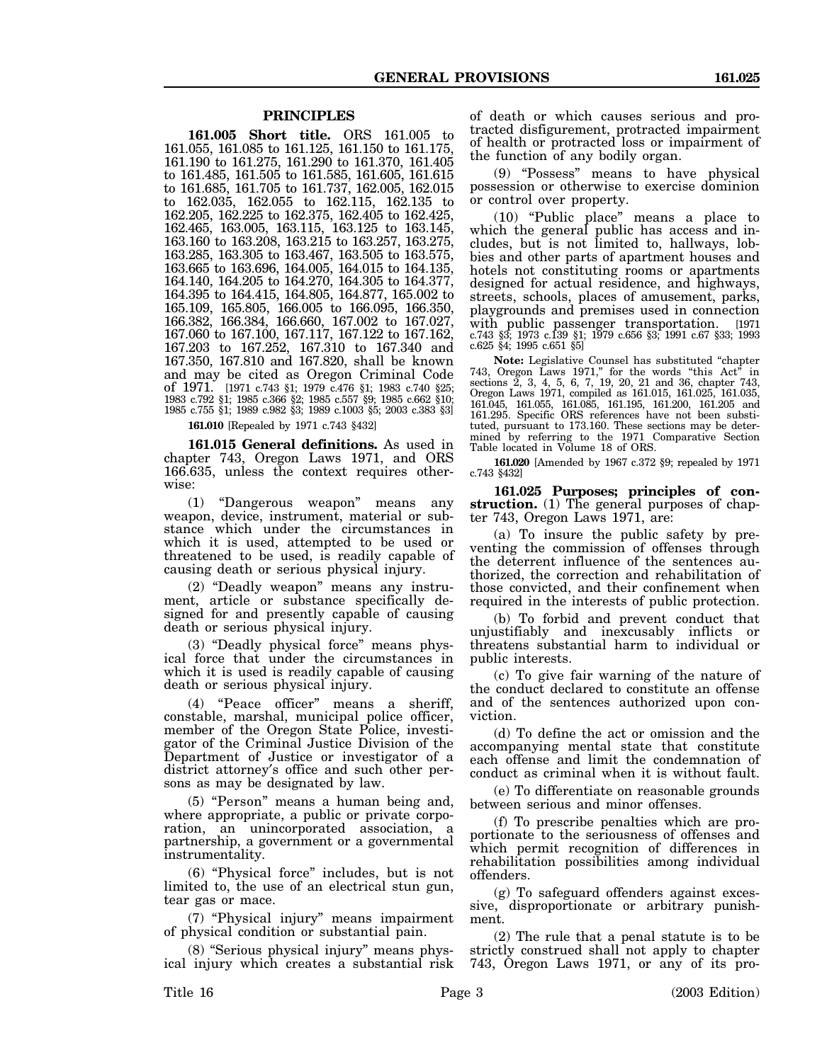## **PRINCIPLES**

**161.005 Short title.** ORS 161.005 to 161.055, 161.085 to 161.125, 161.150 to 161.175, 161.190 to 161.275, 161.290 to 161.370, 161.405 to 161.485, 161.505 to 161.585, 161.605, 161.615 to 161.685, 161.705 to 161.737, 162.005, 162.015 to 162.035, 162.055 to 162.115, 162.135 to 162.205, 162.225 to 162.375, 162.405 to 162.425, 162.465, 163.005, 163.115, 163.125 to 163.145, 163.160 to 163.208, 163.215 to 163.257, 163.275, 163.285, 163.305 to 163.467, 163.505 to 163.575, 163.665 to 163.696, 164.005, 164.015 to 164.135, 164.140, 164.205 to 164.270, 164.305 to 164.377, 164.395 to 164.415, 164.805, 164.877, 165.002 to 165.109, 165.805, 166.005 to 166.095, 166.350, 166.382, 166.384, 166.660, 167.002 to 167.027, 167.060 to 167.100, 167.117, 167.122 to 167.162, 167.203 to 167.252, 167.310 to 167.340 and 167.350, 167.810 and 167.820, shall be known and may be cited as Oregon Criminal Code of 1971. [1971 c.743 §1; 1979 c.476 §1; 1983 c.740 §25; 1983 c.792 §1; 1985 c.366 §2; 1985 c.557 §9; 1985 c.662 §10; 1985 c.755 §1; 1989 c.982 §3; 1989 c.1003 §5; 2003 c.383 §3]

**161.010** [Repealed by 1971 c.743 §432]

**161.015 General definitions.** As used in chapter 743, Oregon Laws 1971, and ORS 166.635, unless the context requires otherwise:

(1) "Dangerous weapon" means any weapon, device, instrument, material or substance which under the circumstances in which it is used, attempted to be used or threatened to be used, is readily capable of causing death or serious physical injury.

(2) "Deadly weapon" means any instrument, article or substance specifically designed for and presently capable of causing death or serious physical injury.

(3) "Deadly physical force" means physical force that under the circumstances in which it is used is readily capable of causing death or serious physical injury.

(4) "Peace officer" means a sheriff, constable, marshal, municipal police officer, member of the Oregon State Police, investigator of the Criminal Justice Division of the Department of Justice or investigator of a district attorney′s office and such other persons as may be designated by law.

(5) "Person" means a human being and, where appropriate, a public or private corporation, an unincorporated association, a partnership, a government or a governmental instrumentality.

(6) "Physical force" includes, but is not limited to, the use of an electrical stun gun, tear gas or mace.

(7) "Physical injury" means impairment of physical condition or substantial pain.

(8) "Serious physical injury" means physical injury which creates a substantial risk of death or which causes serious and protracted disfigurement, protracted impairment of health or protracted loss or impairment of the function of any bodily organ.

(9) "Possess" means to have physical possession or otherwise to exercise dominion or control over property.

(10) "Public place" means a place to which the general public has access and includes, but is not limited to, hallways, lobbies and other parts of apartment houses and hotels not constituting rooms or apartments designed for actual residence, and highways, streets, schools, places of amusement, parks, playgrounds and premises used in connection with public passenger transportation. [1971 c.743 §3; 1973 c.139 §1; 1979 c.656 §3; 1991 c.67 §33; 1993 c.625 §4; 1995 c.651 §5]

**Note:** Legislative Counsel has substituted "chapter 743, Oregon Laws 1971," for the words "this Act" in sections 2, 3, 4, 5, 6, 7, 19, 20, 21 and 36, chapter 743, Oregon Laws 1971, compiled as 161.015, 161.025, 161.035, 161.045, 161.055, 161.085, 161.195, 161.200, 161.205 and 161.295. Specific ORS references have not been substituted, pursuant to 173.160. These sections may be determined by referring to the 1971 Comparative Section Table located in Volume 18 of ORS.

**161.020** [Amended by 1967 c.372 §9; repealed by 1971 c.743 §432]

**161.025 Purposes; principles of construction.** (1) The general purposes of chapter 743, Oregon Laws 1971, are:

(a) To insure the public safety by preventing the commission of offenses through the deterrent influence of the sentences authorized, the correction and rehabilitation of those convicted, and their confinement when required in the interests of public protection.

(b) To forbid and prevent conduct that unjustifiably and inexcusably inflicts or threatens substantial harm to individual or public interests.

(c) To give fair warning of the nature of the conduct declared to constitute an offense and of the sentences authorized upon conviction.

(d) To define the act or omission and the accompanying mental state that constitute each offense and limit the condemnation of conduct as criminal when it is without fault.

(e) To differentiate on reasonable grounds between serious and minor offenses.

(f) To prescribe penalties which are proportionate to the seriousness of offenses and which permit recognition of differences in rehabilitation possibilities among individual offenders.

(g) To safeguard offenders against excessive, disproportionate or arbitrary punishment.

(2) The rule that a penal statute is to be strictly construed shall not apply to chapter 743, Oregon Laws 1971, or any of its pro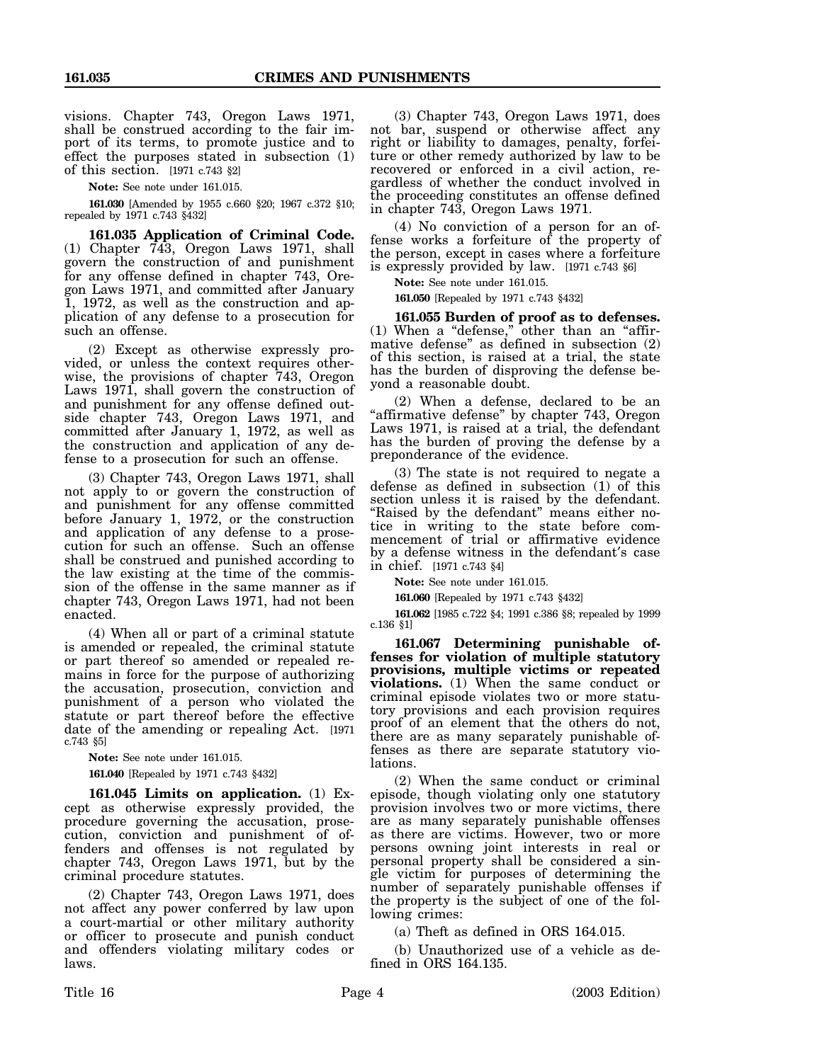visions. Chapter 743, Oregon Laws 1971, shall be construed according to the fair import of its terms, to promote justice and to effect the purposes stated in subsection (1) of this section. [1971 c.743 §2]

**Note:** See note under 161.015.

**161.030** [Amended by 1955 c.660 §20; 1967 c.372 §10; repealed by 1971 c.743 §432]

**161.035 Application of Criminal Code.** (1) Chapter 743, Oregon Laws 1971, shall govern the construction of and punishment for any offense defined in chapter 743, Oregon Laws 1971, and committed after January 1, 1972, as well as the construction and application of any defense to a prosecution for such an offense.

(2) Except as otherwise expressly provided, or unless the context requires otherwise, the provisions of chapter 743, Oregon Laws 1971, shall govern the construction of and punishment for any offense defined outside chapter 743, Oregon Laws 1971, and committed after January 1, 1972, as well as the construction and application of any defense to a prosecution for such an offense.

(3) Chapter 743, Oregon Laws 1971, shall not apply to or govern the construction of and punishment for any offense committed before January 1, 1972, or the construction and application of any defense to a prosecution for such an offense. Such an offense shall be construed and punished according to the law existing at the time of the commission of the offense in the same manner as if chapter 743, Oregon Laws 1971, had not been enacted.

(4) When all or part of a criminal statute is amended or repealed, the criminal statute or part thereof so amended or repealed remains in force for the purpose of authorizing the accusation, prosecution, conviction and punishment of a person who violated the statute or part thereof before the effective date of the amending or repealing Act. [1971 c.743 §5]

**Note:** See note under 161.015.

**161.040** [Repealed by 1971 c.743 §432]

**161.045 Limits on application.** (1) Except as otherwise expressly provided, the procedure governing the accusation, prosecution, conviction and punishment of offenders and offenses is not regulated by chapter 743, Oregon Laws 1971, but by the criminal procedure statutes.

(2) Chapter 743, Oregon Laws 1971, does not affect any power conferred by law upon a court-martial or other military authority or officer to prosecute and punish conduct and offenders violating military codes or laws.

(3) Chapter 743, Oregon Laws 1971, does not bar, suspend or otherwise affect any right or liability to damages, penalty, forfeiture or other remedy authorized by law to be recovered or enforced in a civil action, regardless of whether the conduct involved in the proceeding constitutes an offense defined in chapter 743, Oregon Laws 1971.

(4) No conviction of a person for an offense works a forfeiture of the property of the person, except in cases where a forfeiture is expressly provided by law. [1971 c.743 §6]

**Note:** See note under 161.015.

**161.050** [Repealed by 1971 c.743 §432]

**161.055 Burden of proof as to defenses.** (1) When a "defense," other than an "affirmative defense" as defined in subsection (2) of this section, is raised at a trial, the state has the burden of disproving the defense beyond a reasonable doubt.

(2) When a defense, declared to be an "affirmative defense" by chapter 743, Oregon Laws 1971, is raised at a trial, the defendant has the burden of proving the defense by a preponderance of the evidence.

(3) The state is not required to negate a defense as defined in subsection (1) of this section unless it is raised by the defendant. "Raised by the defendant" means either notice in writing to the state before commencement of trial or affirmative evidence by a defense witness in the defendant′s case in chief. [1971 c.743 §4]

**Note:** See note under 161.015.

**161.060** [Repealed by 1971 c.743 §432]

**161.062** [1985 c.722 §4; 1991 c.386 §8; repealed by 1999 c.136 §1]

**161.067 Determining punishable offenses for violation of multiple statutory provisions, multiple victims or repeated violations.** (1) When the same conduct or criminal episode violates two or more statutory provisions and each provision requires proof of an element that the others do not, there are as many separately punishable offenses as there are separate statutory violations.

(2) When the same conduct or criminal episode, though violating only one statutory provision involves two or more victims, there are as many separately punishable offenses as there are victims. However, two or more persons owning joint interests in real or personal property shall be considered a single victim for purposes of determining the number of separately punishable offenses if the property is the subject of one of the following crimes:

(a) Theft as defined in ORS 164.015.

(b) Unauthorized use of a vehicle as defined in ORS 164.135.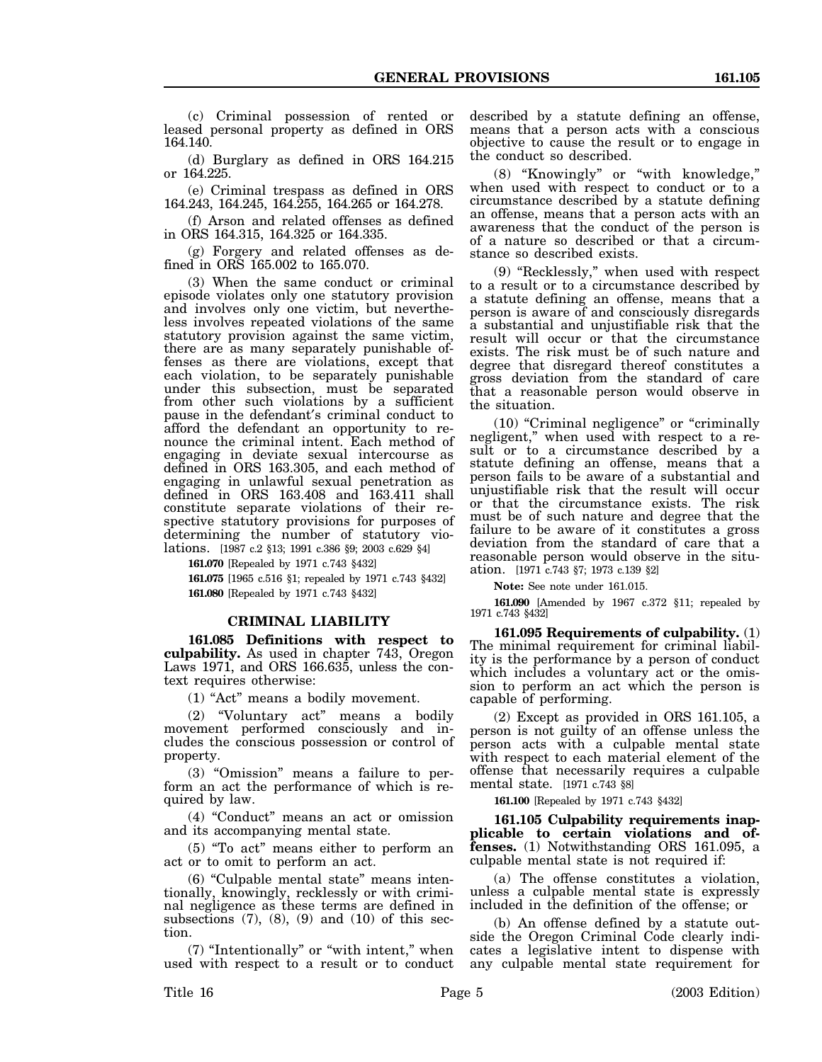(c) Criminal possession of rented or leased personal property as defined in ORS 164.140.

(d) Burglary as defined in ORS 164.215 or 164.225.

(e) Criminal trespass as defined in ORS 164.243, 164.245, 164.255, 164.265 or 164.278.

(f) Arson and related offenses as defined in ORS 164.315, 164.325 or 164.335.

(g) Forgery and related offenses as defined in ORS 165.002 to 165.070.

(3) When the same conduct or criminal episode violates only one statutory provision and involves only one victim, but nevertheless involves repeated violations of the same statutory provision against the same victim, there are as many separately punishable offenses as there are violations, except that each violation, to be separately punishable under this subsection, must be separated from other such violations by a sufficient pause in the defendant′s criminal conduct to afford the defendant an opportunity to renounce the criminal intent. Each method of engaging in deviate sexual intercourse as defined in ORS 163.305, and each method of engaging in unlawful sexual penetration as defined in ORS 163.408 and 163.411 shall constitute separate violations of their respective statutory provisions for purposes of determining the number of statutory violations. [1987 c.2 §13; 1991 c.386 §9; 2003 c.629 §4]

**161.070** [Repealed by 1971 c.743 §432]

**161.075** [1965 c.516 §1; repealed by 1971 c.743 §432] **161.080** [Repealed by 1971 c.743 §432]

#### **CRIMINAL LIABILITY**

**161.085 Definitions with respect to culpability.** As used in chapter 743, Oregon Laws 1971, and ORS 166.635, unless the context requires otherwise:

(1) "Act" means a bodily movement.

(2) "Voluntary act" means a bodily movement performed consciously and includes the conscious possession or control of property.

(3) "Omission" means a failure to perform an act the performance of which is required by law.

(4) "Conduct" means an act or omission and its accompanying mental state.

(5) "To act" means either to perform an act or to omit to perform an act.

(6) "Culpable mental state" means intentionally, knowingly, recklessly or with criminal negligence as these terms are defined in subsections  $(7)$ ,  $(8)$ ,  $(9)$  and  $(10)$  of this section.

(7) "Intentionally" or "with intent," when used with respect to a result or to conduct described by a statute defining an offense, means that a person acts with a conscious objective to cause the result or to engage in the conduct so described.

(8) "Knowingly" or "with knowledge," when used with respect to conduct or to a circumstance described by a statute defining an offense, means that a person acts with an awareness that the conduct of the person is of a nature so described or that a circumstance so described exists.

(9) "Recklessly," when used with respect to a result or to a circumstance described by a statute defining an offense, means that a person is aware of and consciously disregards a substantial and unjustifiable risk that the result will occur or that the circumstance exists. The risk must be of such nature and degree that disregard thereof constitutes a gross deviation from the standard of care that a reasonable person would observe in the situation.

(10) "Criminal negligence" or "criminally negligent," when used with respect to a result or to a circumstance described by a statute defining an offense, means that a person fails to be aware of a substantial and unjustifiable risk that the result will occur or that the circumstance exists. The risk must be of such nature and degree that the failure to be aware of it constitutes a gross deviation from the standard of care that a reasonable person would observe in the situation. [1971 c.743 §7; 1973 c.139 §2]

**Note:** See note under 161.015.

**161.090** [Amended by 1967 c.372 §11; repealed by 1971 c.743 §432]

**161.095 Requirements of culpability.** (1) The minimal requirement for criminal liability is the performance by a person of conduct which includes a voluntary act or the omission to perform an act which the person is capable of performing.

(2) Except as provided in ORS 161.105, a person is not guilty of an offense unless the person acts with a culpable mental state with respect to each material element of the offense that necessarily requires a culpable mental state. [1971 c.743 §8]

**161.100** [Repealed by 1971 c.743 §432]

**161.105 Culpability requirements inapplicable to certain violations and offenses.** (1) Notwithstanding ORS 161.095, a culpable mental state is not required if:

(a) The offense constitutes a violation, unless a culpable mental state is expressly included in the definition of the offense; or

(b) An offense defined by a statute outside the Oregon Criminal Code clearly indicates a legislative intent to dispense with any culpable mental state requirement for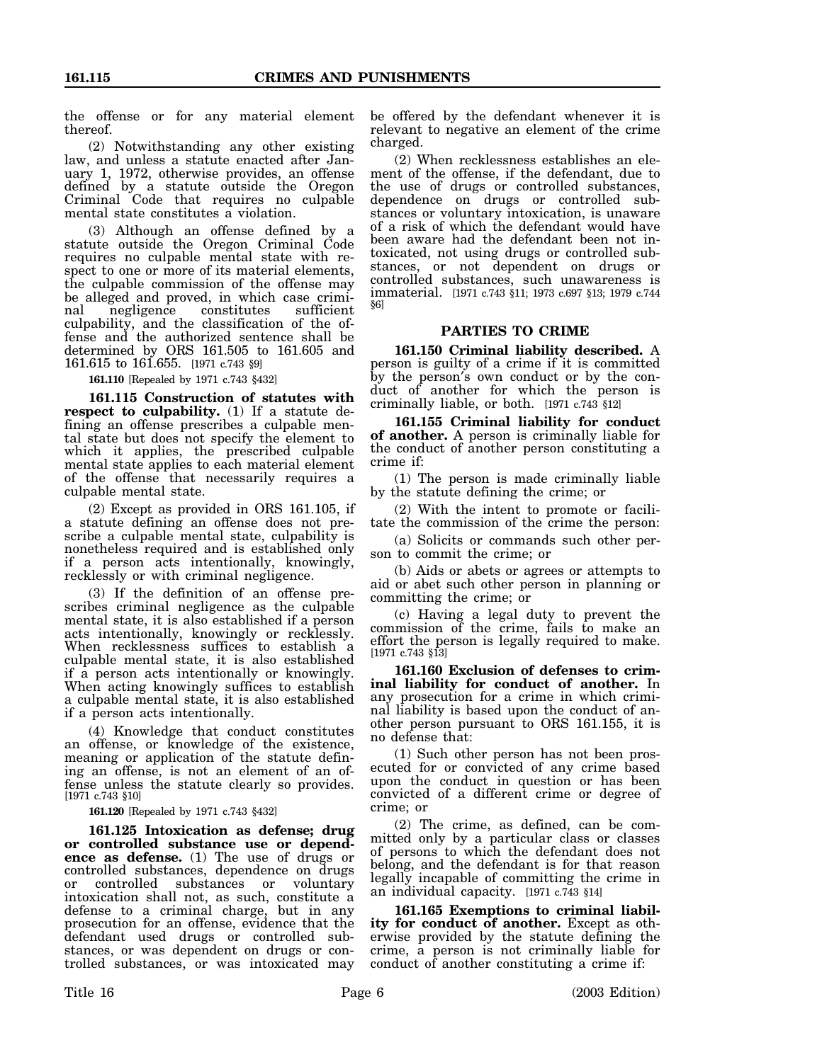the offense or for any material element thereof.

(2) Notwithstanding any other existing law, and unless a statute enacted after January 1, 1972, otherwise provides, an offense defined by a statute outside the Oregon Criminal Code that requires no culpable mental state constitutes a violation.

(3) Although an offense defined by a statute outside the Oregon Criminal Code requires no culpable mental state with respect to one or more of its material elements, the culpable commission of the offense may be alleged and proved, in which case criminal negligence constitutes sufficient culpability, and the classification of the offense and the authorized sentence shall be determined by ORS 161.505 to 161.605 and 161.615 to 161.655. [1971 c.743 §9]

**161.110** [Repealed by 1971 c.743 §432]

**161.115 Construction of statutes with respect to culpability.** (1) If a statute defining an offense prescribes a culpable mental state but does not specify the element to which it applies, the prescribed culpable mental state applies to each material element of the offense that necessarily requires a culpable mental state.

(2) Except as provided in ORS 161.105, if a statute defining an offense does not prescribe a culpable mental state, culpability is nonetheless required and is established only if a person acts intentionally, knowingly, recklessly or with criminal negligence.

(3) If the definition of an offense prescribes criminal negligence as the culpable mental state, it is also established if a person acts intentionally, knowingly or recklessly. When recklessness suffices to establish a culpable mental state, it is also established if a person acts intentionally or knowingly. When acting knowingly suffices to establish a culpable mental state, it is also established if a person acts intentionally.

(4) Knowledge that conduct constitutes an offense, or knowledge of the existence, meaning or application of the statute defining an offense, is not an element of an offense unless the statute clearly so provides. [1971 c.743 §10]

**161.120** [Repealed by 1971 c.743 §432]

**161.125 Intoxication as defense; drug or controlled substance use or dependence as defense.** (1) The use of drugs or controlled substances, dependence on drugs or controlled substances or voluntary intoxication shall not, as such, constitute a defense to a criminal charge, but in any prosecution for an offense, evidence that the defendant used drugs or controlled substances, or was dependent on drugs or controlled substances, or was intoxicated may

be offered by the defendant whenever it is relevant to negative an element of the crime charged.

(2) When recklessness establishes an element of the offense, if the defendant, due to the use of drugs or controlled substances, dependence on drugs or controlled substances or voluntary intoxication, is unaware of a risk of which the defendant would have been aware had the defendant been not intoxicated, not using drugs or controlled substances, or not dependent on drugs or controlled substances, such unawareness is immaterial. [1971 c.743 §11; 1973 c.697 §13; 1979 c.744 §6]

## **PARTIES TO CRIME**

**161.150 Criminal liability described.** A person is guilty of a crime if it is committed by the person′s own conduct or by the conduct of another for which the person is criminally liable, or both. [1971 c.743 §12]

**161.155 Criminal liability for conduct of another.** A person is criminally liable for the conduct of another person constituting a crime if:

(1) The person is made criminally liable by the statute defining the crime; or

(2) With the intent to promote or facilitate the commission of the crime the person:

(a) Solicits or commands such other person to commit the crime; or

(b) Aids or abets or agrees or attempts to aid or abet such other person in planning or committing the crime; or

(c) Having a legal duty to prevent the commission of the crime, fails to make an effort the person is legally required to make.  $[1971 \c.743 \S\overline{1}3]$ 

**161.160 Exclusion of defenses to criminal liability for conduct of another.** In any prosecution for a crime in which criminal liability is based upon the conduct of another person pursuant to ORS 161.155, it is no defense that:

(1) Such other person has not been prosecuted for or convicted of any crime based upon the conduct in question or has been convicted of a different crime or degree of crime; or

(2) The crime, as defined, can be committed only by a particular class or classes of persons to which the defendant does not belong, and the defendant is for that reason legally incapable of committing the crime in an individual capacity. [1971 c.743 §14]

**161.165 Exemptions to criminal liability for conduct of another.** Except as otherwise provided by the statute defining the crime, a person is not criminally liable for conduct of another constituting a crime if: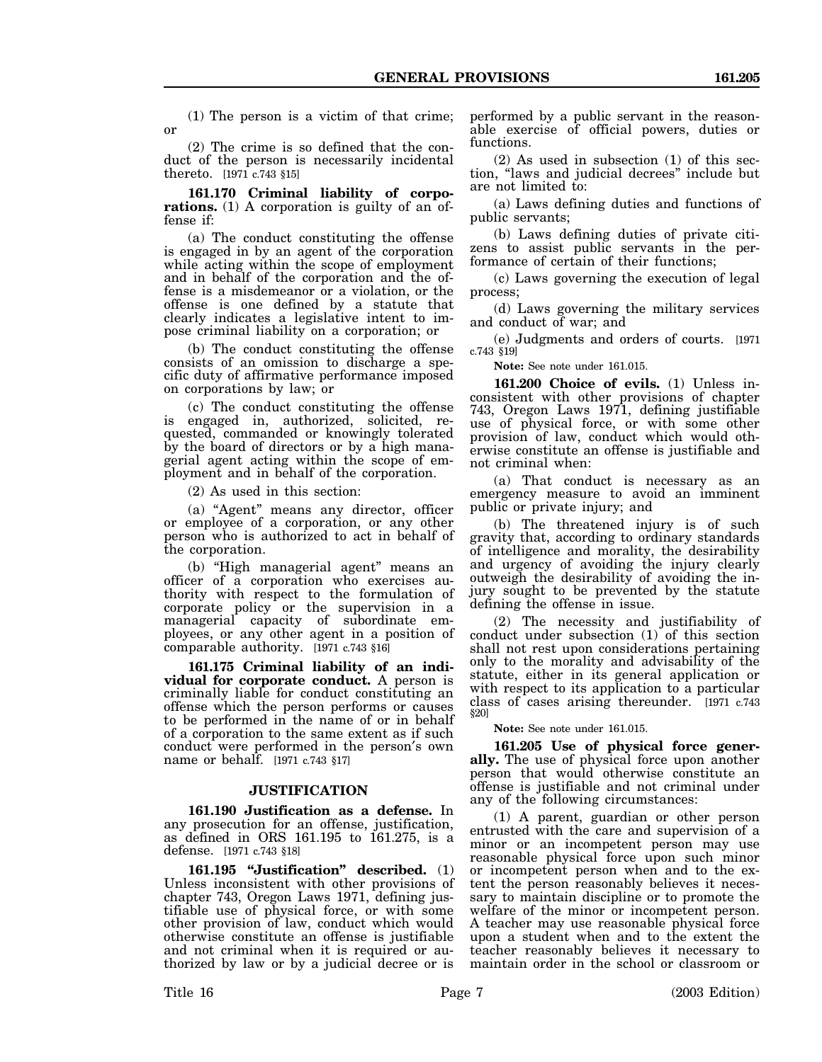(1) The person is a victim of that crime; or

(2) The crime is so defined that the conduct of the person is necessarily incidental thereto. [1971 c.743 §15]

**161.170 Criminal liability of corporations.** (1) A corporation is guilty of an offense if:

(a) The conduct constituting the offense is engaged in by an agent of the corporation while acting within the scope of employment and in behalf of the corporation and the offense is a misdemeanor or a violation, or the offense is one defined by a statute that clearly indicates a legislative intent to impose criminal liability on a corporation; or

(b) The conduct constituting the offense consists of an omission to discharge a specific duty of affirmative performance imposed on corporations by law; or

(c) The conduct constituting the offense is engaged in, authorized, solicited, requested, commanded or knowingly tolerated by the board of directors or by a high managerial agent acting within the scope of employment and in behalf of the corporation.

(2) As used in this section:

(a) "Agent" means any director, officer or employee of a corporation, or any other person who is authorized to act in behalf of the corporation.

(b) "High managerial agent" means an officer of a corporation who exercises authority with respect to the formulation of corporate policy or the supervision in a managerial capacity of subordinate employees, or any other agent in a position of comparable authority. [1971 c.743 §16]

**161.175 Criminal liability of an individual for corporate conduct.** A person is criminally liable for conduct constituting an offense which the person performs or causes to be performed in the name of or in behalf of a corporation to the same extent as if such conduct were performed in the person′s own name or behalf. [1971 c.743 §17]

#### **JUSTIFICATION**

**161.190 Justification as a defense.** In any prosecution for an offense, justification, as defined in ORS 161.195 to 161.275, is a defense. [1971 c.743 §18]

**161.195 "Justification" described.** (1) Unless inconsistent with other provisions of chapter 743, Oregon Laws 1971, defining justifiable use of physical force, or with some other provision of law, conduct which would otherwise constitute an offense is justifiable and not criminal when it is required or authorized by law or by a judicial decree or is

performed by a public servant in the reasonable exercise of official powers, duties or functions.

(2) As used in subsection (1) of this section, "laws and judicial decrees" include but are not limited to:

(a) Laws defining duties and functions of public servants;

(b) Laws defining duties of private citizens to assist public servants in the performance of certain of their functions;

(c) Laws governing the execution of legal process;

(d) Laws governing the military services and conduct of war; and

(e) Judgments and orders of courts. [1971 c.743 §19]

**Note:** See note under 161.015.

**161.200 Choice of evils.** (1) Unless inconsistent with other provisions of chapter 743, Oregon Laws 1971, defining justifiable use of physical force, or with some other provision of law, conduct which would otherwise constitute an offense is justifiable and not criminal when:

(a) That conduct is necessary as an emergency measure to avoid an imminent public or private injury; and

(b) The threatened injury is of such gravity that, according to ordinary standards of intelligence and morality, the desirability and urgency of avoiding the injury clearly outweigh the desirability of avoiding the injury sought to be prevented by the statute defining the offense in issue.

(2) The necessity and justifiability of conduct under subsection (1) of this section shall not rest upon considerations pertaining only to the morality and advisability of the statute, either in its general application or with respect to its application to a particular class of cases arising thereunder. [1971 c.743 §20]

**Note:** See note under 161.015.

**161.205 Use of physical force generally.** The use of physical force upon another person that would otherwise constitute an offense is justifiable and not criminal under any of the following circumstances:

(1) A parent, guardian or other person entrusted with the care and supervision of a minor or an incompetent person may use reasonable physical force upon such minor or incompetent person when and to the extent the person reasonably believes it necessary to maintain discipline or to promote the welfare of the minor or incompetent person. A teacher may use reasonable physical force upon a student when and to the extent the teacher reasonably believes it necessary to maintain order in the school or classroom or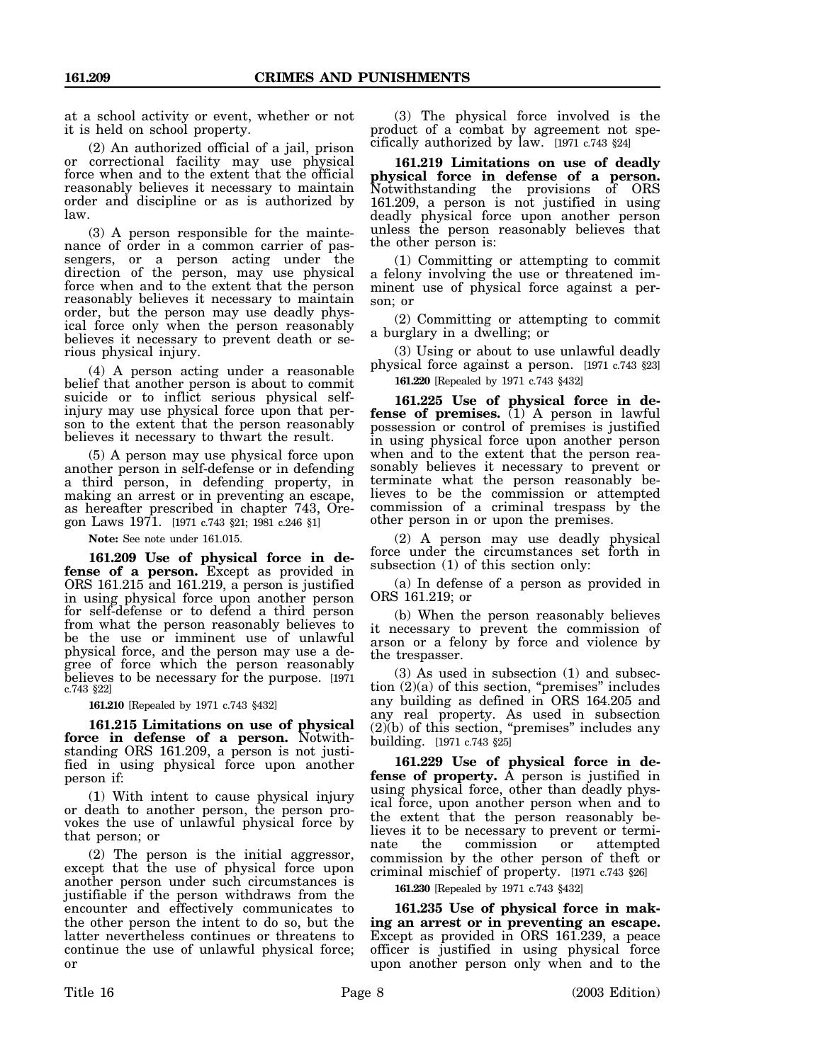at a school activity or event, whether or not it is held on school property.

(2) An authorized official of a jail, prison or correctional facility may use physical force when and to the extent that the official reasonably believes it necessary to maintain order and discipline or as is authorized by law.

(3) A person responsible for the maintenance of order in a common carrier of passengers, or a person acting under the direction of the person, may use physical force when and to the extent that the person reasonably believes it necessary to maintain order, but the person may use deadly physical force only when the person reasonably believes it necessary to prevent death or serious physical injury.

(4) A person acting under a reasonable belief that another person is about to commit suicide or to inflict serious physical selfinjury may use physical force upon that person to the extent that the person reasonably believes it necessary to thwart the result.

(5) A person may use physical force upon another person in self-defense or in defending a third person, in defending property, in making an arrest or in preventing an escape, as hereafter prescribed in chapter 743, Oregon Laws 1971. [1971 c.743 §21; 1981 c.246 §1]

**Note:** See note under 161.015.

**161.209 Use of physical force in defense of a person.** Except as provided in ORS 161.215 and 161.219, a person is justified in using physical force upon another person for self-defense or to defend a third person from what the person reasonably believes to be the use or imminent use of unlawful physical force, and the person may use a degree of force which the person reasonably believes to be necessary for the purpose. [1971 c.743 §22]

**161.210** [Repealed by 1971 c.743 §432]

**161.215 Limitations on use of physical force in defense of a person.** Notwithstanding ORS 161.209, a person is not justified in using physical force upon another person if:

(1) With intent to cause physical injury or death to another person, the person provokes the use of unlawful physical force by that person; or

(2) The person is the initial aggressor, except that the use of physical force upon another person under such circumstances is justifiable if the person withdraws from the encounter and effectively communicates to the other person the intent to do so, but the latter nevertheless continues or threatens to continue the use of unlawful physical force; or

(3) The physical force involved is the product of a combat by agreement not specifically authorized by law. [1971 c.743 §24]

**161.219 Limitations on use of deadly physical force in defense of a person.** Notwithstanding the provisions of ORS 161.209, a person is not justified in using deadly physical force upon another person unless the person reasonably believes that the other person is:

(1) Committing or attempting to commit a felony involving the use or threatened imminent use of physical force against a person; or

(2) Committing or attempting to commit a burglary in a dwelling; or

(3) Using or about to use unlawful deadly physical force against a person. [1971 c.743 §23]

**161.220** [Repealed by 1971 c.743 §432]

**161.225 Use of physical force in defense of premises.** (1) A person in lawful possession or control of premises is justified in using physical force upon another person when and to the extent that the person reasonably believes it necessary to prevent or terminate what the person reasonably believes to be the commission or attempted commission of a criminal trespass by the other person in or upon the premises.

(2) A person may use deadly physical force under the circumstances set forth in subsection (1) of this section only:

(a) In defense of a person as provided in ORS 161.219; or

(b) When the person reasonably believes it necessary to prevent the commission of arson or a felony by force and violence by the trespasser.

(3) As used in subsection (1) and subsection  $(2)(a)$  of this section, "premises" includes any building as defined in ORS 164.205 and any real property. As used in subsection (2)(b) of this section, "premises" includes any building. [1971 c.743 §25]

**161.229 Use of physical force in defense of property.** A person is justified in using physical force, other than deadly physical force, upon another person when and to the extent that the person reasonably believes it to be necessary to prevent or terminate the commission or attempted commission by the other person of theft or criminal mischief of property. [1971 c.743 §26]

**161.230** [Repealed by 1971 c.743 §432]

**161.235 Use of physical force in making an arrest or in preventing an escape.** Except as provided in ORS 161.239, a peace officer is justified in using physical force upon another person only when and to the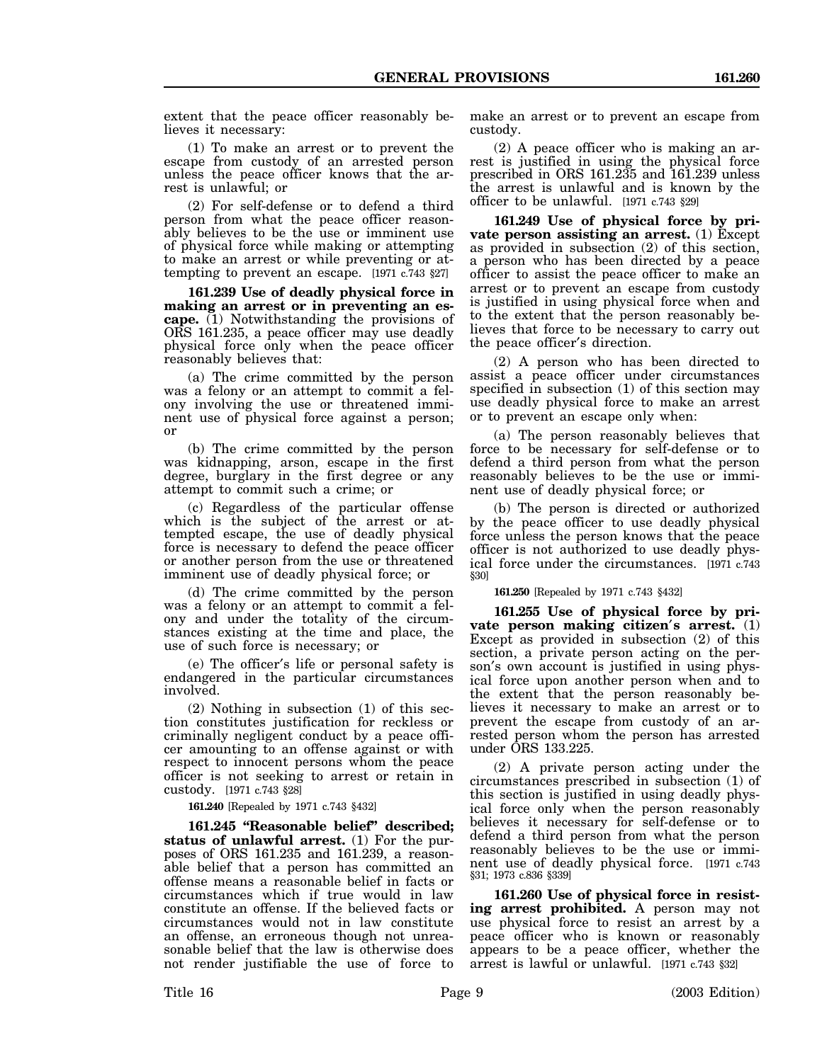extent that the peace officer reasonably believes it necessary:

(1) To make an arrest or to prevent the escape from custody of an arrested person unless the peace officer knows that the arrest is unlawful; or

(2) For self-defense or to defend a third person from what the peace officer reasonably believes to be the use or imminent use of physical force while making or attempting to make an arrest or while preventing or attempting to prevent an escape. [1971 c.743 §27]

**161.239 Use of deadly physical force in making an arrest or in preventing an escape.** (1) Notwithstanding the provisions of ORS 161.235, a peace officer may use deadly physical force only when the peace officer reasonably believes that:

(a) The crime committed by the person was a felony or an attempt to commit a felony involving the use or threatened imminent use of physical force against a person; or

(b) The crime committed by the person was kidnapping, arson, escape in the first degree, burglary in the first degree or any attempt to commit such a crime; or

(c) Regardless of the particular offense which is the subject of the arrest or attempted escape, the use of deadly physical force is necessary to defend the peace officer or another person from the use or threatened imminent use of deadly physical force; or

(d) The crime committed by the person was a felony or an attempt to commit a felony and under the totality of the circumstances existing at the time and place, the use of such force is necessary; or

(e) The officer′s life or personal safety is endangered in the particular circumstances involved.

(2) Nothing in subsection (1) of this section constitutes justification for reckless or criminally negligent conduct by a peace officer amounting to an offense against or with respect to innocent persons whom the peace officer is not seeking to arrest or retain in custody. [1971 c.743 §28]

**161.240** [Repealed by 1971 c.743 §432]

**161.245 "Reasonable belief" described; status of unlawful arrest.** (1) For the purposes of ORS 161.235 and 161.239, a reasonable belief that a person has committed an offense means a reasonable belief in facts or circumstances which if true would in law constitute an offense. If the believed facts or circumstances would not in law constitute an offense, an erroneous though not unreasonable belief that the law is otherwise does not render justifiable the use of force to make an arrest or to prevent an escape from custody.

(2) A peace officer who is making an arrest is justified in using the physical force prescribed in ORS 161.235 and 161.239 unless the arrest is unlawful and is known by the officer to be unlawful. [1971 c.743 §29]

**161.249 Use of physical force by private person assisting an arrest.** (1) Except as provided in subsection (2) of this section, a person who has been directed by a peace officer to assist the peace officer to make an arrest or to prevent an escape from custody is justified in using physical force when and to the extent that the person reasonably believes that force to be necessary to carry out the peace officer′s direction.

(2) A person who has been directed to assist a peace officer under circumstances specified in subsection (1) of this section may use deadly physical force to make an arrest or to prevent an escape only when:

(a) The person reasonably believes that force to be necessary for self-defense or to defend a third person from what the person reasonably believes to be the use or imminent use of deadly physical force; or

(b) The person is directed or authorized by the peace officer to use deadly physical force unless the person knows that the peace officer is not authorized to use deadly physical force under the circumstances. [1971 c.743 §30]

**161.250** [Repealed by 1971 c.743 §432]

**161.255 Use of physical force by private person making citizen**′**s arrest.** (1) Except as provided in subsection (2) of this section, a private person acting on the person′s own account is justified in using physical force upon another person when and to the extent that the person reasonably believes it necessary to make an arrest or to prevent the escape from custody of an arrested person whom the person has arrested under ORS 133.225.

(2) A private person acting under the circumstances prescribed in subsection (1) of this section is justified in using deadly physical force only when the person reasonably believes it necessary for self-defense or to defend a third person from what the person reasonably believes to be the use or imminent use of deadly physical force. [1971 c.743 §31; 1973 c.836 §339]

**161.260 Use of physical force in resisting arrest prohibited.** A person may not use physical force to resist an arrest by a peace officer who is known or reasonably appears to be a peace officer, whether the arrest is lawful or unlawful. [1971 c.743 §32]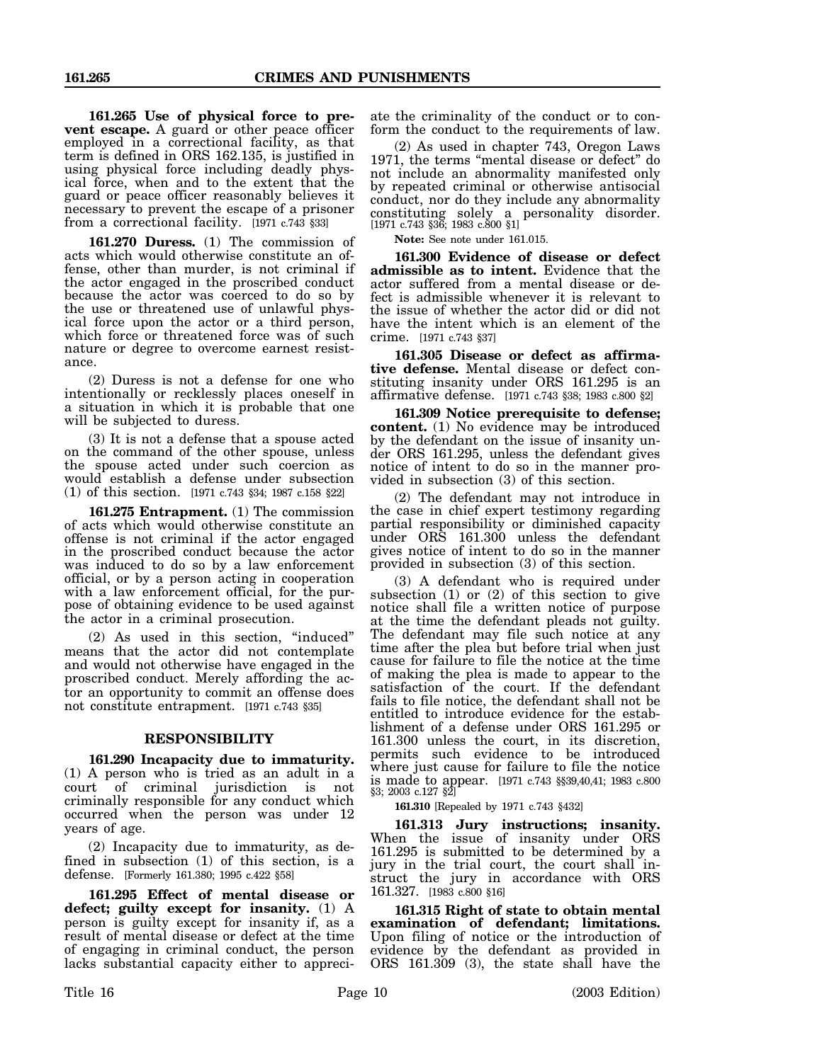**161.265 Use of physical force to prevent escape.** A guard or other peace officer employed in a correctional facility, as that term is defined in ORS 162.135, is justified in using physical force including deadly physical force, when and to the extent that the guard or peace officer reasonably believes it necessary to prevent the escape of a prisoner from a correctional facility. [1971 c.743 §33]

**161.270 Duress.** (1) The commission of acts which would otherwise constitute an offense, other than murder, is not criminal if the actor engaged in the proscribed conduct because the actor was coerced to do so by the use or threatened use of unlawful physical force upon the actor or a third person, which force or threatened force was of such nature or degree to overcome earnest resistance.

(2) Duress is not a defense for one who intentionally or recklessly places oneself in a situation in which it is probable that one will be subjected to duress.

(3) It is not a defense that a spouse acted on the command of the other spouse, unless the spouse acted under such coercion as would establish a defense under subsection (1) of this section. [1971 c.743 §34; 1987 c.158 §22]

**161.275 Entrapment.** (1) The commission of acts which would otherwise constitute an offense is not criminal if the actor engaged in the proscribed conduct because the actor was induced to do so by a law enforcement official, or by a person acting in cooperation with a law enforcement official, for the purpose of obtaining evidence to be used against the actor in a criminal prosecution.

(2) As used in this section, "induced" means that the actor did not contemplate and would not otherwise have engaged in the proscribed conduct. Merely affording the actor an opportunity to commit an offense does not constitute entrapment. [1971 c.743 §35]

#### **RESPONSIBILITY**

**161.290 Incapacity due to immaturity.** (1) A person who is tried as an adult in a court of criminal jurisdiction is not criminally responsible for any conduct which occurred when the person was under 12 years of age.

(2) Incapacity due to immaturity, as defined in subsection (1) of this section, is a defense. [Formerly 161.380; 1995 c.422 §58]

**161.295 Effect of mental disease or defect; guilty except for insanity.** (1) A person is guilty except for insanity if, as a result of mental disease or defect at the time of engaging in criminal conduct, the person lacks substantial capacity either to appreciate the criminality of the conduct or to conform the conduct to the requirements of law.

(2) As used in chapter 743, Oregon Laws 1971, the terms "mental disease or defect" do not include an abnormality manifested only by repeated criminal or otherwise antisocial conduct, nor do they include any abnormality constituting solely a personality disorder. [1971 c.743 §36; 1983 c.800 §1]

**Note:** See note under 161.015.

**161.300 Evidence of disease or defect admissible as to intent.** Evidence that the actor suffered from a mental disease or defect is admissible whenever it is relevant to the issue of whether the actor did or did not have the intent which is an element of the crime. [1971 c.743 §37]

**161.305 Disease or defect as affirmative defense.** Mental disease or defect constituting insanity under ORS 161.295 is an affirmative defense. [1971 c.743 §38; 1983 c.800 §2]

**161.309 Notice prerequisite to defense; content.** (1) No evidence may be introduced by the defendant on the issue of insanity under ORS 161.295, unless the defendant gives notice of intent to do so in the manner provided in subsection (3) of this section.

(2) The defendant may not introduce in the case in chief expert testimony regarding partial responsibility or diminished capacity under ORS 161.300 unless the defendant gives notice of intent to do so in the manner provided in subsection (3) of this section.

(3) A defendant who is required under subsection (1) or (2) of this section to give notice shall file a written notice of purpose at the time the defendant pleads not guilty. The defendant may file such notice at any time after the plea but before trial when just cause for failure to file the notice at the time of making the plea is made to appear to the satisfaction of the court. If the defendant fails to file notice, the defendant shall not be entitled to introduce evidence for the establishment of a defense under ORS 161.295 or 161.300 unless the court, in its discretion, permits such evidence to be introduced where just cause for failure to file the notice is made to appear. [1971 c.743 §§39,40,41; 1983 c.800 §3; 2003 c.127 §2]

**161.310** [Repealed by 1971 c.743 §432]

**161.313 Jury instructions; insanity.** When the issue of insanity under ORS 161.295 is submitted to be determined by a jury in the trial court, the court shall instruct the jury in accordance with ORS 161.327. [1983 c.800 §16]

**161.315 Right of state to obtain mental examination of defendant; limitations.** Upon filing of notice or the introduction of evidence by the defendant as provided in ORS 161.309 (3), the state shall have the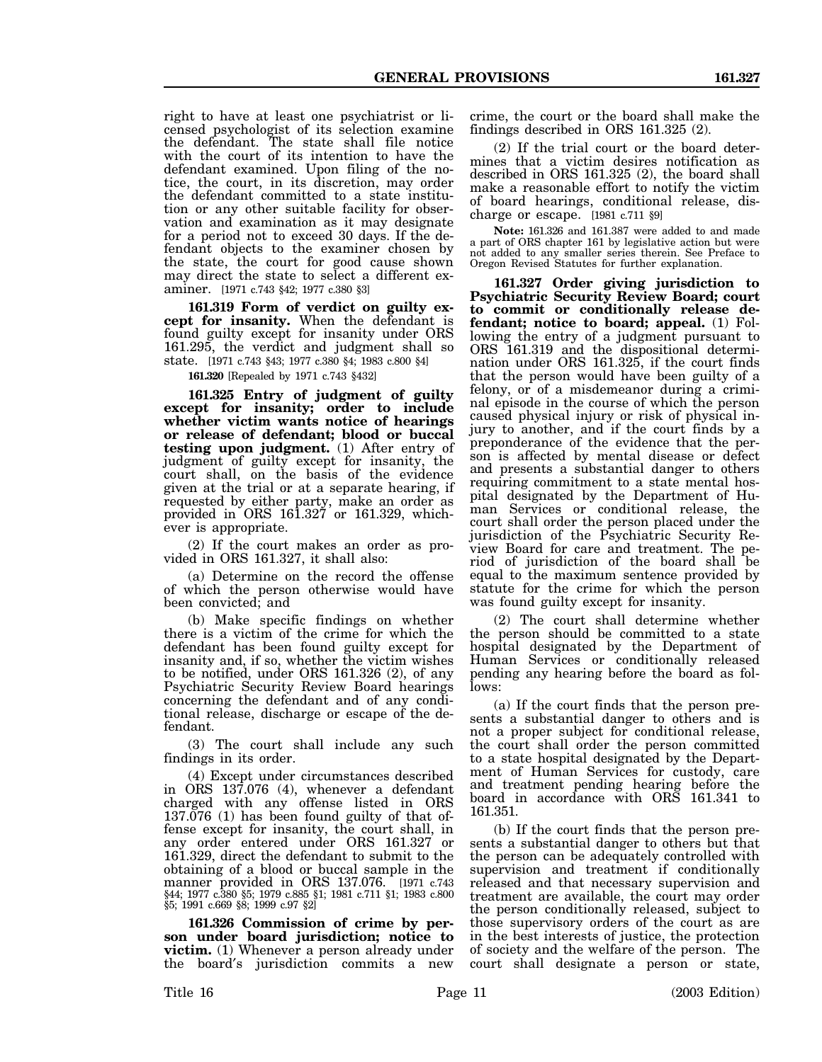right to have at least one psychiatrist or licensed psychologist of its selection examine the defendant. The state shall file notice with the court of its intention to have the defendant examined. Upon filing of the notice, the court, in its discretion, may order the defendant committed to a state institution or any other suitable facility for observation and examination as it may designate for a period not to exceed 30 days. If the defendant objects to the examiner chosen by the state, the court for good cause shown may direct the state to select a different examiner. [1971 c.743 §42; 1977 c.380 §3]

**161.319 Form of verdict on guilty except for insanity.** When the defendant is found guilty except for insanity under ORS 161.295, the verdict and judgment shall so state. [1971 c.743 §43; 1977 c.380 §4; 1983 c.800 §4]

**161.320** [Repealed by 1971 c.743 §432]

**161.325 Entry of judgment of guilty except for insanity; order to include whether victim wants notice of hearings or release of defendant; blood or buccal testing upon judgment.** (1) After entry of judgment of guilty except for insanity, the court shall, on the basis of the evidence given at the trial or at a separate hearing, if requested by either party, make an order as provided in ORS 161.327 or 161.329, whichever is appropriate.

(2) If the court makes an order as provided in ORS 161.327, it shall also:

(a) Determine on the record the offense of which the person otherwise would have been convicted; and

(b) Make specific findings on whether there is a victim of the crime for which the defendant has been found guilty except for insanity and, if so, whether the victim wishes to be notified, under ORS 161.326 (2), of any Psychiatric Security Review Board hearings concerning the defendant and of any conditional release, discharge or escape of the defendant.

(3) The court shall include any such findings in its order.

(4) Except under circumstances described in ORS 137.076 (4), whenever a defendant charged with any offense listed in ORS  $137.076$  (1) has been found guilty of that offense except for insanity, the court shall, in any order entered under ORS 161.327 or 161.329, direct the defendant to submit to the obtaining of a blood or buccal sample in the manner provided in ORS 137.076. [1971 c.743 §44; 1977 c.380 §5; 1979 c.885 §1; 1981 c.711 §1; 1983 c.800 §5; 1991 c.669 §8; 1999 c.97 §2]

**161.326 Commission of crime by person under board jurisdiction; notice to victim.** (1) Whenever a person already under the board′s jurisdiction commits a new crime, the court or the board shall make the findings described in ORS 161.325 (2).

(2) If the trial court or the board determines that a victim desires notification as described in ORS 161.325 (2), the board shall make a reasonable effort to notify the victim of board hearings, conditional release, discharge or escape. [1981 c.711 §9]

**Note:** 161.326 and 161.387 were added to and made a part of ORS chapter 161 by legislative action but were not added to any smaller series therein. See Preface to Oregon Revised Statutes for further explanation.

**161.327 Order giving jurisdiction to Psychiatric Security Review Board; court to commit or conditionally release defendant; notice to board; appeal.** (1) Following the entry of a judgment pursuant to ORS 161.319 and the dispositional determination under ORS 161.325, if the court finds that the person would have been guilty of a felony, or of a misdemeanor during a criminal episode in the course of which the person caused physical injury or risk of physical injury to another, and if the court finds by a preponderance of the evidence that the person is affected by mental disease or defect and presents a substantial danger to others requiring commitment to a state mental hospital designated by the Department of Human Services or conditional release, the court shall order the person placed under the jurisdiction of the Psychiatric Security Review Board for care and treatment. The period of jurisdiction of the board shall be equal to the maximum sentence provided by statute for the crime for which the person was found guilty except for insanity.

(2) The court shall determine whether the person should be committed to a state hospital designated by the Department of Human Services or conditionally released pending any hearing before the board as follows:

(a) If the court finds that the person presents a substantial danger to others and is not a proper subject for conditional release, the court shall order the person committed to a state hospital designated by the Department of Human Services for custody, care and treatment pending hearing before the board in accordance with ORS 161.341 to 161.351.

(b) If the court finds that the person presents a substantial danger to others but that the person can be adequately controlled with supervision and treatment if conditionally released and that necessary supervision and treatment are available, the court may order the person conditionally released, subject to those supervisory orders of the court as are in the best interests of justice, the protection of society and the welfare of the person. The court shall designate a person or state,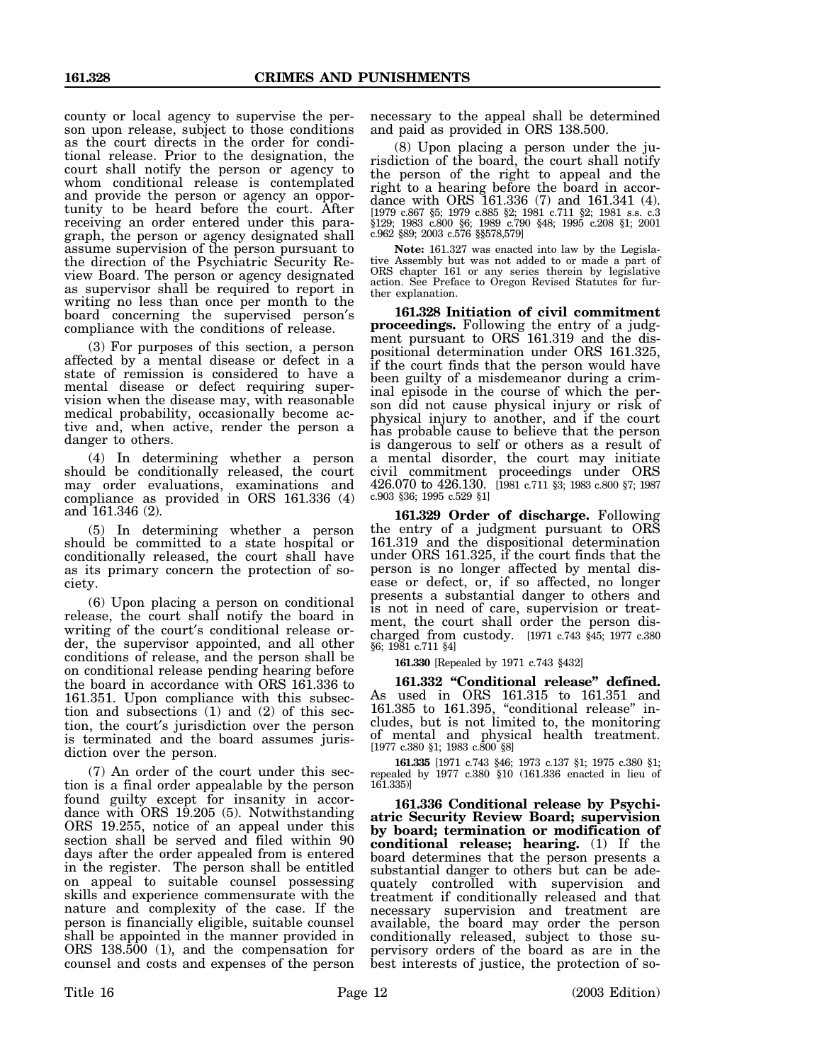county or local agency to supervise the person upon release, subject to those conditions as the court directs in the order for conditional release. Prior to the designation, the court shall notify the person or agency to whom conditional release is contemplated and provide the person or agency an opportunity to be heard before the court. After receiving an order entered under this paragraph, the person or agency designated shall assume supervision of the person pursuant to the direction of the Psychiatric Security Review Board. The person or agency designated as supervisor shall be required to report in writing no less than once per month to the board concerning the supervised person′s compliance with the conditions of release.

(3) For purposes of this section, a person affected by a mental disease or defect in a state of remission is considered to have a mental disease or defect requiring supervision when the disease may, with reasonable medical probability, occasionally become active and, when active, render the person a danger to others.

(4) In determining whether a person should be conditionally released, the court may order evaluations, examinations and compliance as provided in ORS 161.336 (4) and 161.346 (2).

(5) In determining whether a person should be committed to a state hospital or conditionally released, the court shall have as its primary concern the protection of society.

(6) Upon placing a person on conditional release, the court shall notify the board in writing of the court′s conditional release order, the supervisor appointed, and all other conditions of release, and the person shall be on conditional release pending hearing before the board in accordance with ORS 161.336 to 161.351. Upon compliance with this subsection and subsections (1) and (2) of this section, the court′s jurisdiction over the person is terminated and the board assumes jurisdiction over the person.

(7) An order of the court under this section is a final order appealable by the person found guilty except for insanity in accordance with ORS 19.205 (5). Notwithstanding ORS 19.255, notice of an appeal under this section shall be served and filed within 90 days after the order appealed from is entered in the register. The person shall be entitled on appeal to suitable counsel possessing skills and experience commensurate with the nature and complexity of the case. If the person is financially eligible, suitable counsel shall be appointed in the manner provided in ORS 138.500 (1), and the compensation for counsel and costs and expenses of the person

necessary to the appeal shall be determined and paid as provided in ORS 138.500.

(8) Upon placing a person under the jurisdiction of the board, the court shall notify the person of the right to appeal and the right to a hearing before the board in accordance with ORS 161.336 (7) and 161.341 (4). [1979 c.867 §5; 1979 c.885 §2; 1981 c.711 §2; 1981 s.s. c.3 §129; 1983 c.800 §6; 1989 c.790 §48; 1995 c.208 §1; 2001 c.962 §89; 2003 c.576 §§578,579]

**Note:** 161.327 was enacted into law by the Legislative Assembly but was not added to or made a part of ORS chapter 161 or any series therein by legislative action. See Preface to Oregon Revised Statutes for further explanation.

**161.328 Initiation of civil commitment proceedings.** Following the entry of a judgment pursuant to ORS 161.319 and the dispositional determination under ORS 161.325, if the court finds that the person would have been guilty of a misdemeanor during a criminal episode in the course of which the person did not cause physical injury or risk of physical injury to another, and if the court has probable cause to believe that the person is dangerous to self or others as a result of a mental disorder, the court may initiate civil commitment proceedings under ORS 426.070 to 426.130. [1981 c.711 §3; 1983 c.800 §7; 1987 c.903 §36; 1995 c.529 §1]

**161.329 Order of discharge.** Following the entry of a judgment pursuant to ORS 161.319 and the dispositional determination under ORS 161.325, if the court finds that the person is no longer affected by mental disease or defect, or, if so affected, no longer presents a substantial danger to others and is not in need of care, supervision or treatment, the court shall order the person discharged from custody. [1971 c.743 §45; 1977 c.380 §6; 1981 c.711 §4]

**161.330** [Repealed by 1971 c.743 §432]

**161.332 "Conditional release" defined.** As used in ORS 161.315 to 161.351 and 161.385 to 161.395, "conditional release" includes, but is not limited to, the monitoring of mental and physical health treatment. [1977 c.380 §1; 1983 c.800 §8]

**161.335** [1971 c.743 §46; 1973 c.137 §1; 1975 c.380 §1; repealed by 1977 c.380 §10 (161.336 enacted in lieu of 161.335)]

**161.336 Conditional release by Psychiatric Security Review Board; supervision by board; termination or modification of conditional release; hearing.** (1) If the board determines that the person presents a substantial danger to others but can be adequately controlled with supervision and treatment if conditionally released and that necessary supervision and treatment are available, the board may order the person conditionally released, subject to those supervisory orders of the board as are in the best interests of justice, the protection of so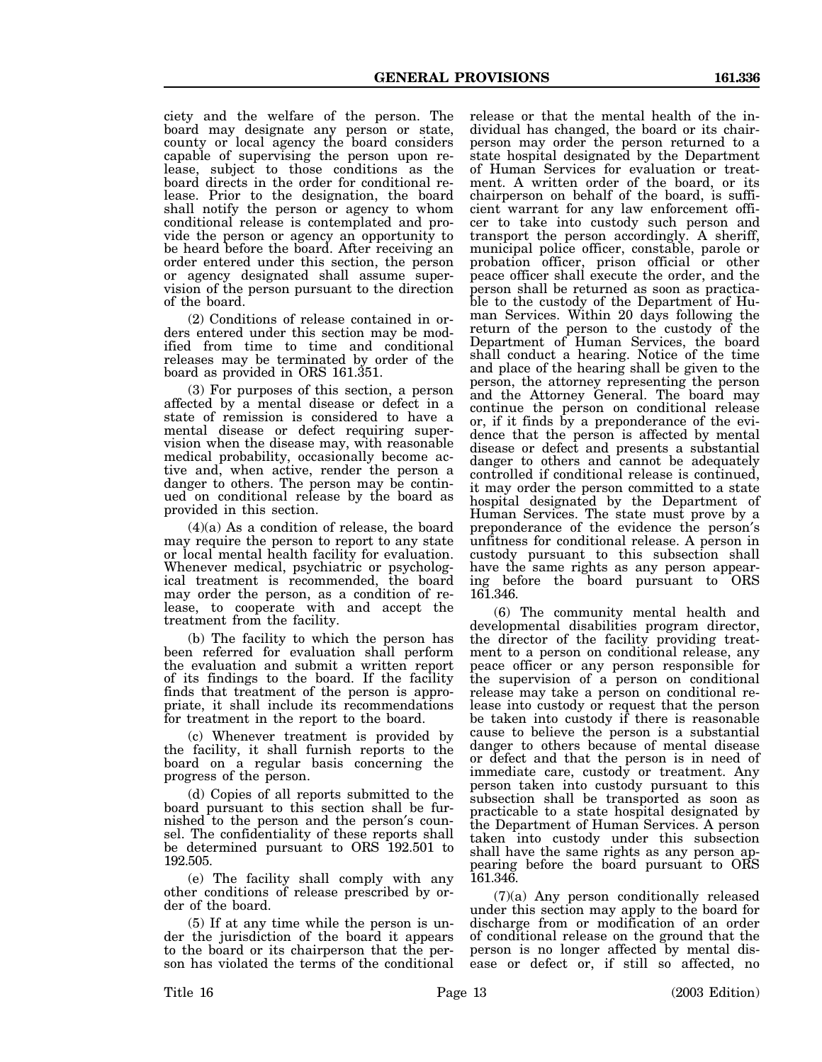ciety and the welfare of the person. The board may designate any person or state, county or local agency the board considers capable of supervising the person upon release, subject to those conditions as the board directs in the order for conditional release. Prior to the designation, the board shall notify the person or agency to whom conditional release is contemplated and provide the person or agency an opportunity to be heard before the board. After receiving an order entered under this section, the person or agency designated shall assume supervision of the person pursuant to the direction of the board.

(2) Conditions of release contained in orders entered under this section may be modified from time to time and conditional releases may be terminated by order of the board as provided in ORS 161.351.

(3) For purposes of this section, a person affected by a mental disease or defect in a state of remission is considered to have a mental disease or defect requiring supervision when the disease may, with reasonable medical probability, occasionally become active and, when active, render the person a danger to others. The person may be continued on conditional release by the board as provided in this section.

(4)(a) As a condition of release, the board may require the person to report to any state or local mental health facility for evaluation. Whenever medical, psychiatric or psychological treatment is recommended, the board may order the person, as a condition of release, to cooperate with and accept the treatment from the facility.

(b) The facility to which the person has been referred for evaluation shall perform the evaluation and submit a written report of its findings to the board. If the facility finds that treatment of the person is appropriate, it shall include its recommendations for treatment in the report to the board.

(c) Whenever treatment is provided by the facility, it shall furnish reports to the board on a regular basis concerning the progress of the person.

(d) Copies of all reports submitted to the board pursuant to this section shall be furnished to the person and the person′s counsel. The confidentiality of these reports shall be determined pursuant to ORS 192.501 to 192.505.

(e) The facility shall comply with any other conditions of release prescribed by order of the board.

(5) If at any time while the person is under the jurisdiction of the board it appears to the board or its chairperson that the person has violated the terms of the conditional release or that the mental health of the individual has changed, the board or its chairperson may order the person returned to a state hospital designated by the Department of Human Services for evaluation or treatment. A written order of the board, or its chairperson on behalf of the board, is sufficient warrant for any law enforcement officer to take into custody such person and transport the person accordingly. A sheriff, municipal police officer, constable, parole or probation officer, prison official or other peace officer shall execute the order, and the person shall be returned as soon as practicable to the custody of the Department of Human Services. Within 20 days following the return of the person to the custody of the Department of Human Services, the board shall conduct a hearing. Notice of the time and place of the hearing shall be given to the person, the attorney representing the person and the Attorney General. The board may continue the person on conditional release or, if it finds by a preponderance of the evidence that the person is affected by mental disease or defect and presents a substantial danger to others and cannot be adequately controlled if conditional release is continued, it may order the person committed to a state hospital designated by the Department of Human Services. The state must prove by a preponderance of the evidence the person′s unfitness for conditional release. A person in custody pursuant to this subsection shall have the same rights as any person appearing before the board pursuant to ORS 161.346.

(6) The community mental health and developmental disabilities program director, the director of the facility providing treatment to a person on conditional release, any peace officer or any person responsible for the supervision of a person on conditional release may take a person on conditional release into custody or request that the person be taken into custody if there is reasonable cause to believe the person is a substantial danger to others because of mental disease or defect and that the person is in need of immediate care, custody or treatment. Any person taken into custody pursuant to this subsection shall be transported as soon as practicable to a state hospital designated by the Department of Human Services. A person taken into custody under this subsection shall have the same rights as any person appearing before the board pursuant to ORS 161.346.

(7)(a) Any person conditionally released under this section may apply to the board for discharge from or modification of an order of conditional release on the ground that the person is no longer affected by mental disease or defect or, if still so affected, no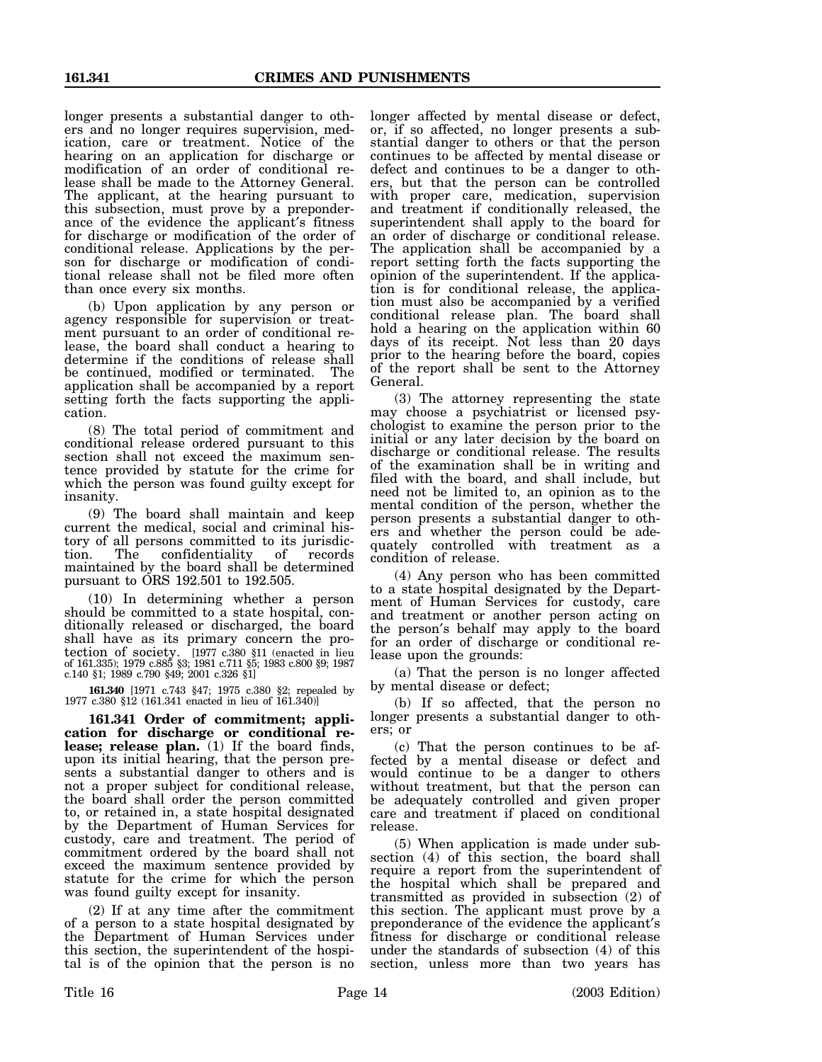longer presents a substantial danger to others and no longer requires supervision, medication, care or treatment. Notice of the hearing on an application for discharge or modification of an order of conditional release shall be made to the Attorney General. The applicant, at the hearing pursuant to this subsection, must prove by a preponderance of the evidence the applicant′s fitness for discharge or modification of the order of conditional release. Applications by the person for discharge or modification of conditional release shall not be filed more often than once every six months.

(b) Upon application by any person or agency responsible for supervision or treatment pursuant to an order of conditional release, the board shall conduct a hearing to determine if the conditions of release shall be continued, modified or terminated. The application shall be accompanied by a report setting forth the facts supporting the application.

(8) The total period of commitment and conditional release ordered pursuant to this section shall not exceed the maximum sentence provided by statute for the crime for which the person was found guilty except for insanity.

(9) The board shall maintain and keep current the medical, social and criminal history of all persons committed to its jurisdiction. The confidentiality of records maintained by the board shall be determined pursuant to ORS 192.501 to 192.505.

(10) In determining whether a person should be committed to a state hospital, conditionally released or discharged, the board shall have as its primary concern the protection of society. [1977 c.380 §11 (enacted in lieu of 161.335); 1979 c.885 §3; 1981 c.711 §5; 1983 c.800 §9; 1987 c.140 §1; 1989 c.790 §49; 2001 c.326 §1]

**161.340** [1971 c.743 §47; 1975 c.380 §2; repealed by 1977 c.380 §12 (161.341 enacted in lieu of 161.340)]

**161.341 Order of commitment; application for discharge or conditional release; release plan.** (1) If the board finds, upon its initial hearing, that the person presents a substantial danger to others and is not a proper subject for conditional release, the board shall order the person committed to, or retained in, a state hospital designated by the Department of Human Services for custody, care and treatment. The period of commitment ordered by the board shall not exceed the maximum sentence provided by statute for the crime for which the person was found guilty except for insanity.

(2) If at any time after the commitment of a person to a state hospital designated by the Department of Human Services under this section, the superintendent of the hospital is of the opinion that the person is no longer affected by mental disease or defect, or, if so affected, no longer presents a substantial danger to others or that the person continues to be affected by mental disease or defect and continues to be a danger to others, but that the person can be controlled with proper care, medication, supervision and treatment if conditionally released, the superintendent shall apply to the board for an order of discharge or conditional release. The application shall be accompanied by a report setting forth the facts supporting the opinion of the superintendent. If the application is for conditional release, the application must also be accompanied by a verified conditional release plan. The board shall hold a hearing on the application within 60 days of its receipt. Not less than 20 days prior to the hearing before the board, copies of the report shall be sent to the Attorney General.

(3) The attorney representing the state may choose a psychiatrist or licensed psychologist to examine the person prior to the initial or any later decision by the board on discharge or conditional release. The results of the examination shall be in writing and filed with the board, and shall include, but need not be limited to, an opinion as to the mental condition of the person, whether the person presents a substantial danger to others and whether the person could be adequately controlled with treatment as a condition of release.

(4) Any person who has been committed to a state hospital designated by the Department of Human Services for custody, care and treatment or another person acting on the person′s behalf may apply to the board for an order of discharge or conditional release upon the grounds:

(a) That the person is no longer affected by mental disease or defect;

(b) If so affected, that the person no longer presents a substantial danger to others; or

(c) That the person continues to be affected by a mental disease or defect and would continue to be a danger to others without treatment, but that the person can be adequately controlled and given proper care and treatment if placed on conditional release.

(5) When application is made under subsection (4) of this section, the board shall require a report from the superintendent of the hospital which shall be prepared and transmitted as provided in subsection (2) of this section. The applicant must prove by a preponderance of the evidence the applicant′s fitness for discharge or conditional release under the standards of subsection (4) of this section, unless more than two years has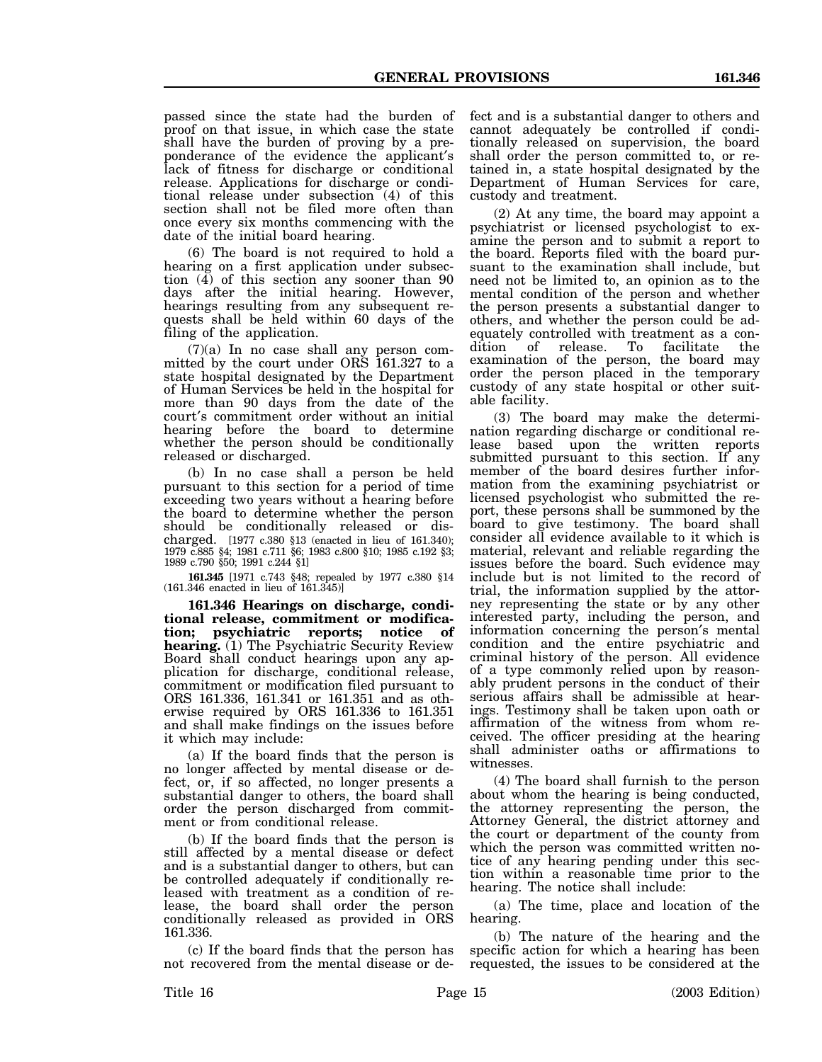passed since the state had the burden of proof on that issue, in which case the state shall have the burden of proving by a preponderance of the evidence the applicant′s lack of fitness for discharge or conditional release. Applications for discharge or conditional release under subsection (4) of this section shall not be filed more often than once every six months commencing with the date of the initial board hearing.

(6) The board is not required to hold a hearing on a first application under subsection  $(\overline{4})$  of this section any sooner than 90 days after the initial hearing. However, hearings resulting from any subsequent requests shall be held within 60 days of the filing of the application.

(7)(a) In no case shall any person committed by the court under ORS 161.327 to a state hospital designated by the Department of Human Services be held in the hospital for more than 90 days from the date of the court′s commitment order without an initial hearing before the board to determine whether the person should be conditionally released or discharged.

(b) In no case shall a person be held pursuant to this section for a period of time exceeding two years without a hearing before the board to determine whether the person should be conditionally released or discharged. [1977 c.380 §13 (enacted in lieu of 161.340); 1979 c.885 §4; 1981 c.711 §6; 1983 c.800 §10; 1985 c.192 §3; 1989 c.790 §50; 1991 c.244 §1]

**161.345** [1971 c.743 §48; repealed by 1977 c.380 §14 (161.346 enacted in lieu of 161.345)]

**161.346 Hearings on discharge, conditional release, commitment or modification; psychiatric reports; notice of hearing.** (1) The Psychiatric Security Review Board shall conduct hearings upon any application for discharge, conditional release, commitment or modification filed pursuant to ORS 161.336, 161.341 or 161.351 and as otherwise required by ORS 161.336 to 161.351 and shall make findings on the issues before it which may include:

(a) If the board finds that the person is no longer affected by mental disease or defect, or, if so affected, no longer presents a substantial danger to others, the board shall order the person discharged from commitment or from conditional release.

(b) If the board finds that the person is still affected by a mental disease or defect and is a substantial danger to others, but can be controlled adequately if conditionally released with treatment as a condition of release, the board shall order the person conditionally released as provided in ORS 161.336.

(c) If the board finds that the person has not recovered from the mental disease or defect and is a substantial danger to others and cannot adequately be controlled if conditionally released on supervision, the board shall order the person committed to, or retained in, a state hospital designated by the Department of Human Services for care, custody and treatment.

(2) At any time, the board may appoint a psychiatrist or licensed psychologist to examine the person and to submit a report to the board. Reports filed with the board pursuant to the examination shall include, but need not be limited to, an opinion as to the mental condition of the person and whether the person presents a substantial danger to others, and whether the person could be adequately controlled with treatment as a con-<br>dition of release. To facilitate the dition of release. To facilitate the examination of the person, the board may order the person placed in the temporary custody of any state hospital or other suitable facility.

(3) The board may make the determination regarding discharge or conditional release based upon the written reports submitted pursuant to this section. If any member of the board desires further information from the examining psychiatrist or licensed psychologist who submitted the report, these persons shall be summoned by the board to give testimony. The board shall consider all evidence available to it which is material, relevant and reliable regarding the issues before the board. Such evidence may include but is not limited to the record of trial, the information supplied by the attorney representing the state or by any other interested party, including the person, and information concerning the person′s mental condition and the entire psychiatric and criminal history of the person. All evidence of a type commonly relied upon by reasonably prudent persons in the conduct of their serious affairs shall be admissible at hearings. Testimony shall be taken upon oath or affirmation of the witness from whom received. The officer presiding at the hearing shall administer oaths or affirmations to witnesses.

(4) The board shall furnish to the person about whom the hearing is being conducted, the attorney representing the person, the Attorney General, the district attorney and the court or department of the county from which the person was committed written notice of any hearing pending under this section within a reasonable time prior to the hearing. The notice shall include:

(a) The time, place and location of the hearing.

(b) The nature of the hearing and the specific action for which a hearing has been requested, the issues to be considered at the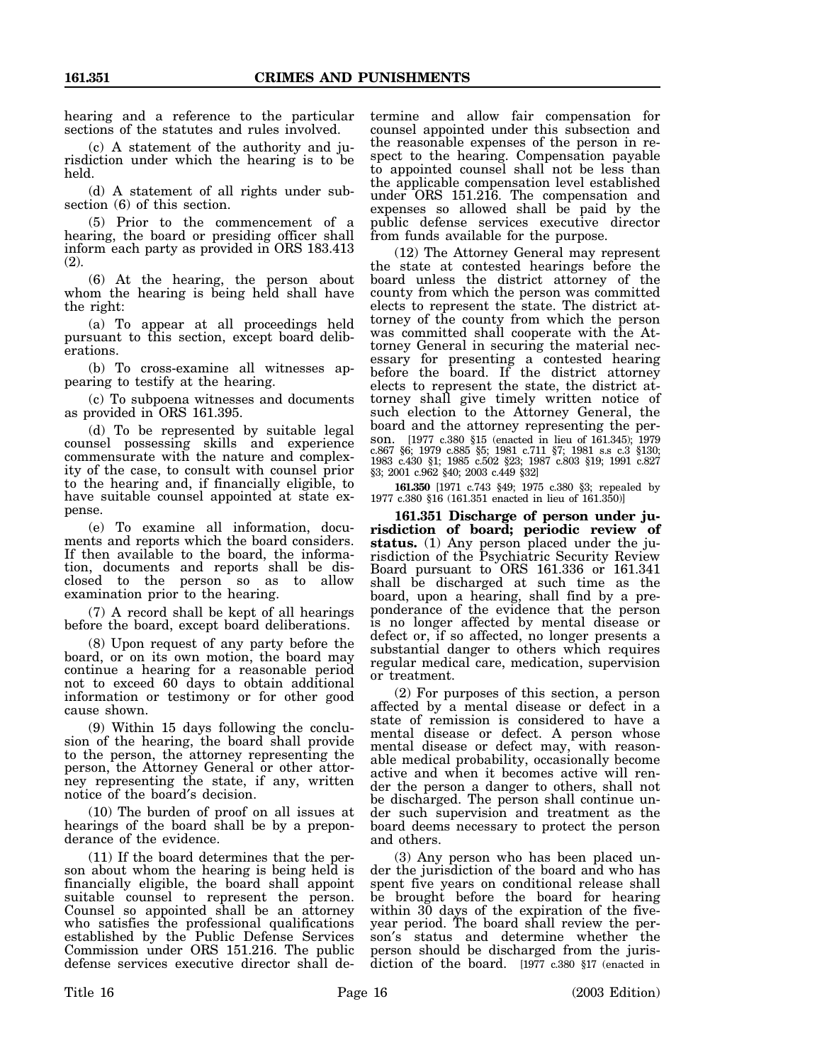hearing and a reference to the particular sections of the statutes and rules involved.

(c) A statement of the authority and jurisdiction under which the hearing is to be held.

(d) A statement of all rights under subsection (6) of this section.

(5) Prior to the commencement of a hearing, the board or presiding officer shall inform each party as provided in ORS 183.413 (2).

(6) At the hearing, the person about whom the hearing is being held shall have the right:

(a) To appear at all proceedings held pursuant to this section, except board deliberations.

(b) To cross-examine all witnesses appearing to testify at the hearing.

(c) To subpoena witnesses and documents as provided in ORS 161.395.

(d) To be represented by suitable legal counsel possessing skills and experience commensurate with the nature and complexity of the case, to consult with counsel prior to the hearing and, if financially eligible, to have suitable counsel appointed at state expense.

(e) To examine all information, documents and reports which the board considers. If then available to the board, the information, documents and reports shall be disclosed to the person so as to allow examination prior to the hearing.

(7) A record shall be kept of all hearings before the board, except board deliberations.

(8) Upon request of any party before the board, or on its own motion, the board may continue a hearing for a reasonable period not to exceed 60 days to obtain additional information or testimony or for other good cause shown.

(9) Within 15 days following the conclusion of the hearing, the board shall provide to the person, the attorney representing the person, the Attorney General or other attorney representing the state, if any, written notice of the board′s decision.

(10) The burden of proof on all issues at hearings of the board shall be by a preponderance of the evidence.

(11) If the board determines that the person about whom the hearing is being held is financially eligible, the board shall appoint suitable counsel to represent the person. Counsel so appointed shall be an attorney who satisfies the professional qualifications established by the Public Defense Services Commission under ORS 151.216. The public defense services executive director shall de-

termine and allow fair compensation for counsel appointed under this subsection and the reasonable expenses of the person in respect to the hearing. Compensation payable to appointed counsel shall not be less than the applicable compensation level established under ORS 151.216. The compensation and expenses so allowed shall be paid by the public defense services executive director from funds available for the purpose.

(12) The Attorney General may represent the state at contested hearings before the board unless the district attorney of the county from which the person was committed elects to represent the state. The district attorney of the county from which the person was committed shall cooperate with the Attorney General in securing the material necessary for presenting a contested hearing before the board. If the district attorney elects to represent the state, the district attorney shall give timely written notice of such election to the Attorney General, the board and the attorney representing the person. [1977 c.380 §15 (enacted in lieu of 161.345); 1979 c.867 §6; 1979 c.885 §5; 1981 c.711 §7; 1981 s.s c.3 §130; 1983 c.430 §1; 1985 c.502 §23; 1987 c.803 §19; 1991 c.827 §3; 2001 c.962 §40; 2003 c.449 §32]

**161.350** [1971 c.743 §49; 1975 c.380 §3; repealed by 1977 c.380 §16 (161.351 enacted in lieu of 161.350)]

**161.351 Discharge of person under jurisdiction of board; periodic review of status.** (1) Any person placed under the jurisdiction of the Psychiatric Security Review Board pursuant to ORS 161.336 or 161.341 shall be discharged at such time as the board, upon a hearing, shall find by a preponderance of the evidence that the person is no longer affected by mental disease or defect or, if so affected, no longer presents a substantial danger to others which requires regular medical care, medication, supervision or treatment.

(2) For purposes of this section, a person affected by a mental disease or defect in a state of remission is considered to have a mental disease or defect. A person whose mental disease or defect may, with reasonable medical probability, occasionally become active and when it becomes active will render the person a danger to others, shall not be discharged. The person shall continue under such supervision and treatment as the board deems necessary to protect the person and others.

(3) Any person who has been placed under the jurisdiction of the board and who has spent five years on conditional release shall be brought before the board for hearing within 30 days of the expiration of the fiveyear period. The board shall review the person′s status and determine whether the person should be discharged from the jurisdiction of the board. [1977 c.380 §17 (enacted in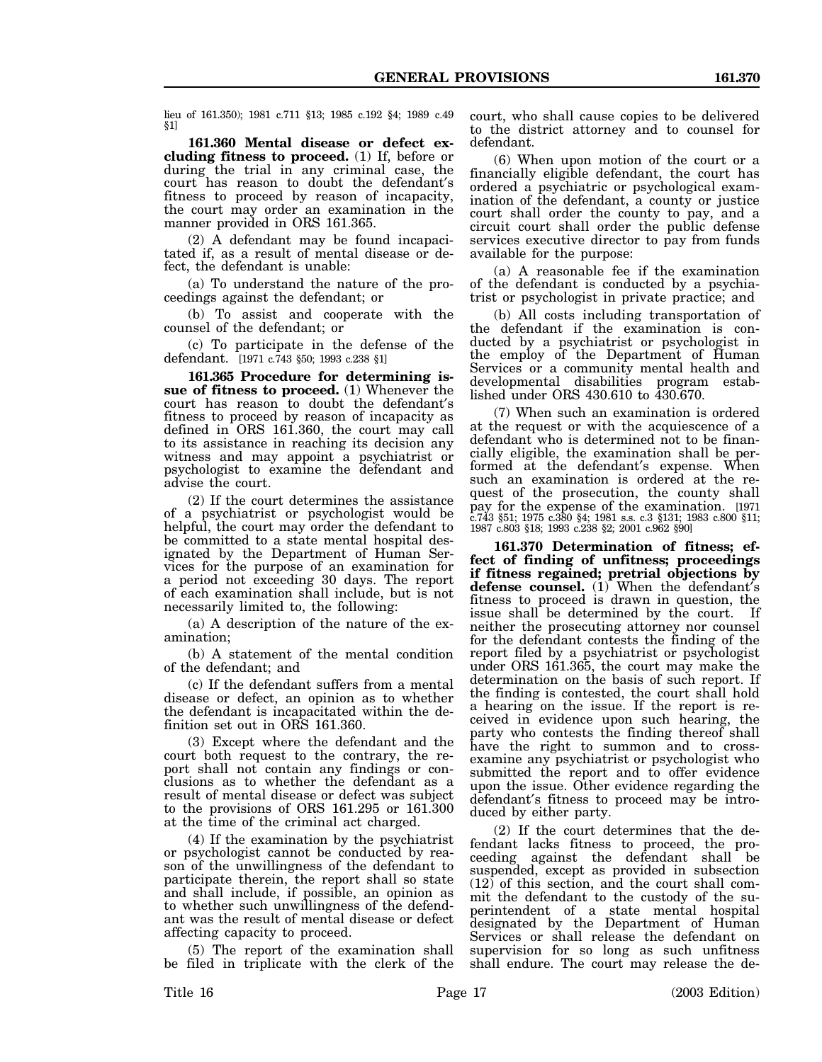lieu of 161.350); 1981 c.711 §13; 1985 c.192 §4; 1989 c.49 §1]

**161.360 Mental disease or defect excluding fitness to proceed.** (1) If, before or during the trial in any criminal case, the court has reason to doubt the defendant′s fitness to proceed by reason of incapacity, the court may order an examination in the manner provided in ORS 161.365.

(2) A defendant may be found incapacitated if, as a result of mental disease or defect, the defendant is unable:

(a) To understand the nature of the proceedings against the defendant; or

(b) To assist and cooperate with the counsel of the defendant; or

(c) To participate in the defense of the defendant. [1971 c.743 §50; 1993 c.238 §1]

**161.365 Procedure for determining issue of fitness to proceed.** (1) Whenever the court has reason to doubt the defendant′s fitness to proceed by reason of incapacity as defined in ORS 161.360, the court may call to its assistance in reaching its decision any witness and may appoint a psychiatrist or psychologist to examine the defendant and advise the court.

(2) If the court determines the assistance of a psychiatrist or psychologist would be helpful, the court may order the defendant to be committed to a state mental hospital designated by the Department of Human Services for the purpose of an examination for a period not exceeding 30 days. The report of each examination shall include, but is not necessarily limited to, the following:

(a) A description of the nature of the examination;

(b) A statement of the mental condition of the defendant; and

(c) If the defendant suffers from a mental disease or defect, an opinion as to whether the defendant is incapacitated within the definition set out in ORS 161.360.

(3) Except where the defendant and the court both request to the contrary, the report shall not contain any findings or conclusions as to whether the defendant as a result of mental disease or defect was subject to the provisions of ORS 161.295 or 161.300 at the time of the criminal act charged.

(4) If the examination by the psychiatrist or psychologist cannot be conducted by reason of the unwillingness of the defendant to participate therein, the report shall so state and shall include, if possible, an opinion as to whether such unwillingness of the defendant was the result of mental disease or defect affecting capacity to proceed.

(5) The report of the examination shall be filed in triplicate with the clerk of the court, who shall cause copies to be delivered to the district attorney and to counsel for defendant.

(6) When upon motion of the court or a financially eligible defendant, the court has ordered a psychiatric or psychological examination of the defendant, a county or justice court shall order the county to pay, and a circuit court shall order the public defense services executive director to pay from funds available for the purpose:

(a) A reasonable fee if the examination of the defendant is conducted by a psychiatrist or psychologist in private practice; and

(b) All costs including transportation of the defendant if the examination is conducted by a psychiatrist or psychologist in the employ of the Department of Human Services or a community mental health and developmental disabilities program established under ORS 430.610 to 430.670.

(7) When such an examination is ordered at the request or with the acquiescence of a defendant who is determined not to be financially eligible, the examination shall be performed at the defendant′s expense. When such an examination is ordered at the request of the prosecution, the county shall pay for the expense of the examination. [1971 c.743 §51; 1975 c.380 §4; 1981 s.s. c.3 §131; 1983 c.800 §11; 1987 c.803 §18; 1993 c.238 §2; 2001 c.962 §90]

**161.370 Determination of fitness; effect of finding of unfitness; proceedings if fitness regained; pretrial objections by defense counsel.** (1) When the defendant′s fitness to proceed is drawn in question, the issue shall be determined by the court. If neither the prosecuting attorney nor counsel for the defendant contests the finding of the report filed by a psychiatrist or psychologist under ORS 161.365, the court may make the determination on the basis of such report. If the finding is contested, the court shall hold a hearing on the issue. If the report is received in evidence upon such hearing, the party who contests the finding thereof shall have the right to summon and to crossexamine any psychiatrist or psychologist who submitted the report and to offer evidence upon the issue. Other evidence regarding the defendant′s fitness to proceed may be introduced by either party.

(2) If the court determines that the defendant lacks fitness to proceed, the proceeding against the defendant shall be suspended, except as provided in subsection  $(12)$  of this section, and the court shall commit the defendant to the custody of the superintendent of a state mental hospital designated by the Department of Human Services or shall release the defendant on supervision for so long as such unfitness shall endure. The court may release the de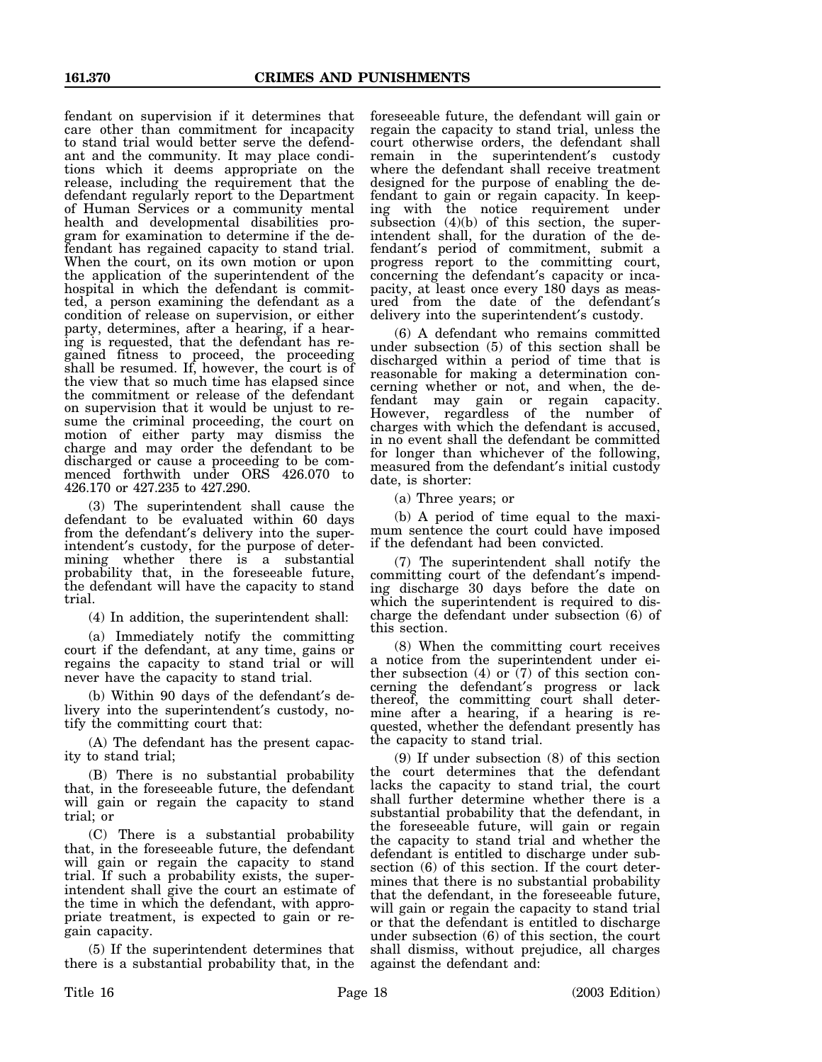fendant on supervision if it determines that care other than commitment for incapacity to stand trial would better serve the defendant and the community. It may place conditions which it deems appropriate on the release, including the requirement that the defendant regularly report to the Department of Human Services or a community mental health and developmental disabilities program for examination to determine if the defendant has regained capacity to stand trial. When the court, on its own motion or upon the application of the superintendent of the hospital in which the defendant is committed, a person examining the defendant as a condition of release on supervision, or either party, determines, after a hearing, if a hearing is requested, that the defendant has regained fitness to proceed, the proceeding shall be resumed. If, however, the court is of the view that so much time has elapsed since the commitment or release of the defendant on supervision that it would be unjust to resume the criminal proceeding, the court on motion of either party may dismiss the charge and may order the defendant to be discharged or cause a proceeding to be commenced forthwith under ORS 426.070 to 426.170 or 427.235 to 427.290.

(3) The superintendent shall cause the defendant to be evaluated within 60 days from the defendant′s delivery into the superintendent′s custody, for the purpose of determining whether there is a substantial probability that, in the foreseeable future, the defendant will have the capacity to stand trial.

(4) In addition, the superintendent shall:

(a) Immediately notify the committing court if the defendant, at any time, gains or regains the capacity to stand trial or will never have the capacity to stand trial.

(b) Within 90 days of the defendant′s delivery into the superintendent′s custody, notify the committing court that:

(A) The defendant has the present capacity to stand trial;

(B) There is no substantial probability that, in the foreseeable future, the defendant will gain or regain the capacity to stand trial; or

(C) There is a substantial probability that, in the foreseeable future, the defendant will gain or regain the capacity to stand trial. If such a probability exists, the superintendent shall give the court an estimate of the time in which the defendant, with appropriate treatment, is expected to gain or regain capacity.

(5) If the superintendent determines that there is a substantial probability that, in the

foreseeable future, the defendant will gain or regain the capacity to stand trial, unless the court otherwise orders, the defendant shall remain in the superintendent′s custody where the defendant shall receive treatment designed for the purpose of enabling the defendant to gain or regain capacity. In keeping with the notice requirement under subsection (4)(b) of this section, the superintendent shall, for the duration of the defendant′s period of commitment, submit a progress report to the committing court, concerning the defendant′s capacity or incapacity, at least once every 180 days as measured from the date of the defendant′s delivery into the superintendent′s custody.

(6) A defendant who remains committed under subsection (5) of this section shall be discharged within a period of time that is reasonable for making a determination concerning whether or not, and when, the defendant may gain or regain capacity. However, regardless of the number of charges with which the defendant is accused, in no event shall the defendant be committed for longer than whichever of the following, measured from the defendant′s initial custody date, is shorter:

(a) Three years; or

(b) A period of time equal to the maximum sentence the court could have imposed if the defendant had been convicted.

(7) The superintendent shall notify the committing court of the defendant′s impending discharge 30 days before the date on which the superintendent is required to discharge the defendant under subsection (6) of this section.

(8) When the committing court receives a notice from the superintendent under either subsection  $(4)$  or  $(7)$  of this section concerning the defendant′s progress or lack thereof, the committing court shall determine after a hearing, if a hearing is requested, whether the defendant presently has the capacity to stand trial.

(9) If under subsection (8) of this section the court determines that the defendant lacks the capacity to stand trial, the court shall further determine whether there is a substantial probability that the defendant, in the foreseeable future, will gain or regain the capacity to stand trial and whether the defendant is entitled to discharge under subsection (6) of this section. If the court determines that there is no substantial probability that the defendant, in the foreseeable future, will gain or regain the capacity to stand trial or that the defendant is entitled to discharge under subsection (6) of this section, the court shall dismiss, without prejudice, all charges against the defendant and: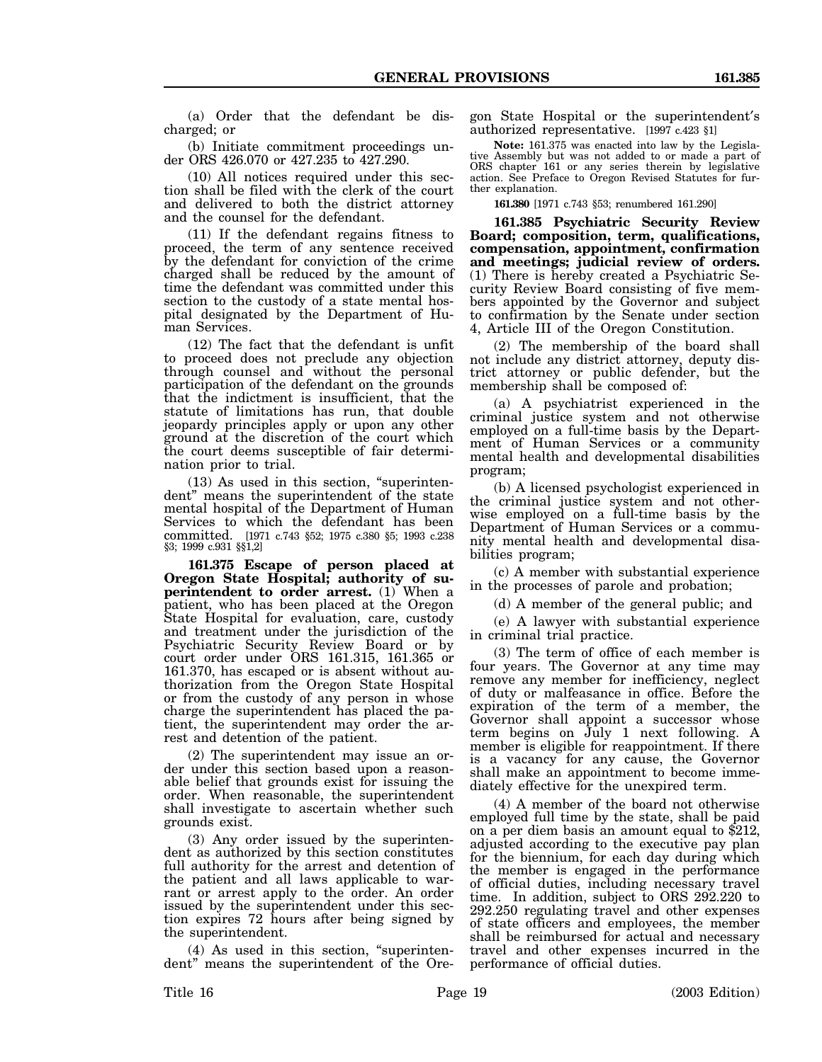(a) Order that the defendant be discharged; or

(b) Initiate commitment proceedings under ORS 426.070 or 427.235 to 427.290.

(10) All notices required under this section shall be filed with the clerk of the court and delivered to both the district attorney and the counsel for the defendant.

(11) If the defendant regains fitness to proceed, the term of any sentence received by the defendant for conviction of the crime charged shall be reduced by the amount of time the defendant was committed under this section to the custody of a state mental hospital designated by the Department of Human Services.

(12) The fact that the defendant is unfit to proceed does not preclude any objection through counsel and without the personal participation of the defendant on the grounds that the indictment is insufficient, that the statute of limitations has run, that double jeopardy principles apply or upon any other ground at the discretion of the court which the court deems susceptible of fair determination prior to trial.

(13) As used in this section, "superintendent" means the superintendent of the state mental hospital of the Department of Human Services to which the defendant has been committed. [1971 c.743 §52; 1975 c.380 §5; 1993 c.238 §3; 1999 c.931 §§1,2]

**161.375 Escape of person placed at Oregon State Hospital; authority of superintendent to order arrest.** (1) When a patient, who has been placed at the Oregon State Hospital for evaluation, care, custody and treatment under the jurisdiction of the Psychiatric Security Review Board or by court order under ORS 161.315, 161.365 or 161.370, has escaped or is absent without authorization from the Oregon State Hospital or from the custody of any person in whose charge the superintendent has placed the patient, the superintendent may order the arrest and detention of the patient.

(2) The superintendent may issue an order under this section based upon a reasonable belief that grounds exist for issuing the order. When reasonable, the superintendent shall investigate to ascertain whether such grounds exist.

(3) Any order issued by the superintendent as authorized by this section constitutes full authority for the arrest and detention of the patient and all laws applicable to warrant or arrest apply to the order. An order issued by the superintendent under this section expires 72 hours after being signed by the superintendent.

(4) As used in this section, "superintendent" means the superintendent of the Oregon State Hospital or the superintendent′s authorized representative. [1997 c.423 §1]

**Note:** 161.375 was enacted into law by the Legislative Assembly but was not added to or made a part of ORS chapter 161 or any series therein by legislative action. See Preface to Oregon Revised Statutes for further explanation.

**161.380** [1971 c.743 §53; renumbered 161.290]

**161.385 Psychiatric Security Review Board; composition, term, qualifications, compensation, appointment, confirmation and meetings; judicial review of orders.** (1) There is hereby created a Psychiatric Security Review Board consisting of five members appointed by the Governor and subject to confirmation by the Senate under section 4, Article III of the Oregon Constitution.

(2) The membership of the board shall not include any district attorney, deputy district attorney or public defender, but the membership shall be composed of:

(a) A psychiatrist experienced in the criminal justice system and not otherwise employed on a full-time basis by the Department of Human Services or a community mental health and developmental disabilities program;

(b) A licensed psychologist experienced in the criminal justice system and not otherwise employed on a full-time basis by the Department of Human Services or a community mental health and developmental disabilities program;

(c) A member with substantial experience in the processes of parole and probation;

(d) A member of the general public; and

(e) A lawyer with substantial experience in criminal trial practice.

(3) The term of office of each member is four years. The Governor at any time may remove any member for inefficiency, neglect of duty or malfeasance in office. Before the expiration of the term of a member, the Governor shall appoint a successor whose term begins on July 1 next following. A member is eligible for reappointment. If there is a vacancy for any cause, the Governor shall make an appointment to become immediately effective for the unexpired term.

(4) A member of the board not otherwise employed full time by the state, shall be paid on a per diem basis an amount equal to \$212, adjusted according to the executive pay plan for the biennium, for each day during which the member is engaged in the performance of official duties, including necessary travel time. In addition, subject to ORS 292.220 to 292.250 regulating travel and other expenses of state officers and employees, the member shall be reimbursed for actual and necessary travel and other expenses incurred in the performance of official duties.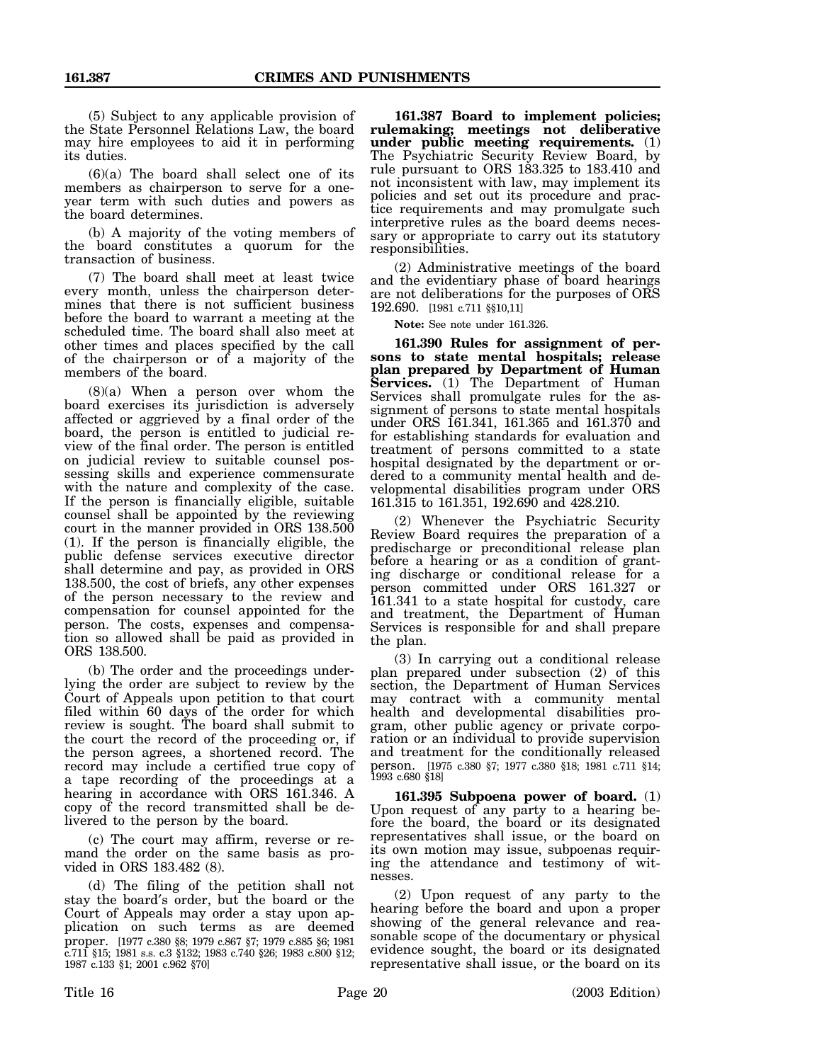(5) Subject to any applicable provision of the State Personnel Relations Law, the board may hire employees to aid it in performing its duties.

(6)(a) The board shall select one of its members as chairperson to serve for a oneyear term with such duties and powers as the board determines.

(b) A majority of the voting members of the board constitutes a quorum for the transaction of business.

(7) The board shall meet at least twice every month, unless the chairperson determines that there is not sufficient business before the board to warrant a meeting at the scheduled time. The board shall also meet at other times and places specified by the call of the chairperson or of a majority of the members of the board.

(8)(a) When a person over whom the board exercises its jurisdiction is adversely affected or aggrieved by a final order of the board, the person is entitled to judicial review of the final order. The person is entitled on judicial review to suitable counsel possessing skills and experience commensurate with the nature and complexity of the case. If the person is financially eligible, suitable counsel shall be appointed by the reviewing court in the manner provided in ORS 138.500 (1). If the person is financially eligible, the public defense services executive director shall determine and pay, as provided in ORS 138.500, the cost of briefs, any other expenses of the person necessary to the review and compensation for counsel appointed for the person. The costs, expenses and compensation so allowed shall be paid as provided in ORS 138.500.

(b) The order and the proceedings underlying the order are subject to review by the Court of Appeals upon petition to that court filed within 60 days of the order for which review is sought. The board shall submit to the court the record of the proceeding or, if the person agrees, a shortened record. The record may include a certified true copy of a tape recording of the proceedings at a hearing in accordance with ORS 161.346. A copy of the record transmitted shall be delivered to the person by the board.

(c) The court may affirm, reverse or remand the order on the same basis as provided in ORS 183.482 (8).

(d) The filing of the petition shall not stay the board′s order, but the board or the Court of Appeals may order a stay upon application on such terms as are deemed proper. [1977 c.380 §8; 1979 c.867 §7; 1979 c.885 §6; 1981 c.711 §15; 1981 s.s. c.3 §132; 1983 c.740 §26; 1983 c.800 §12; 1987 c.133 §1; 2001 c.962 §70]

**161.387 Board to implement policies; rulemaking; meetings not deliberative under public meeting requirements.** (1) The Psychiatric Security Review Board, by rule pursuant to ORS 183.325 to 183.410 and not inconsistent with law, may implement its policies and set out its procedure and practice requirements and may promulgate such interpretive rules as the board deems necessary or appropriate to carry out its statutory responsibilities.

(2) Administrative meetings of the board and the evidentiary phase of board hearings are not deliberations for the purposes of ORS 192.690. [1981 c.711 §§10,11]

**Note:** See note under 161.326.

**161.390 Rules for assignment of persons to state mental hospitals; release plan prepared by Department of Human Services.** (1) The Department of Human Services shall promulgate rules for the assignment of persons to state mental hospitals under ORS 161.341, 161.365 and 161.370 and for establishing standards for evaluation and treatment of persons committed to a state hospital designated by the department or ordered to a community mental health and developmental disabilities program under ORS 161.315 to 161.351, 192.690 and 428.210.

(2) Whenever the Psychiatric Security Review Board requires the preparation of a predischarge or preconditional release plan before a hearing or as a condition of granting discharge or conditional release for a person committed under ORS 161.327 or 161.341 to a state hospital for custody, care and treatment, the Department of Human Services is responsible for and shall prepare the plan.

(3) In carrying out a conditional release plan prepared under subsection (2) of this section, the Department of Human Services may contract with a community mental health and developmental disabilities program, other public agency or private corporation or an individual to provide supervision and treatment for the conditionally released person. [1975 c.380 §7; 1977 c.380 §18; 1981 c.711 §14; 1993 c.680 §18]

**161.395 Subpoena power of board.** (1) Upon request of any party to a hearing before the board, the board or its designated representatives shall issue, or the board on its own motion may issue, subpoenas requiring the attendance and testimony of witnesses.

(2) Upon request of any party to the hearing before the board and upon a proper showing of the general relevance and reasonable scope of the documentary or physical evidence sought, the board or its designated representative shall issue, or the board on its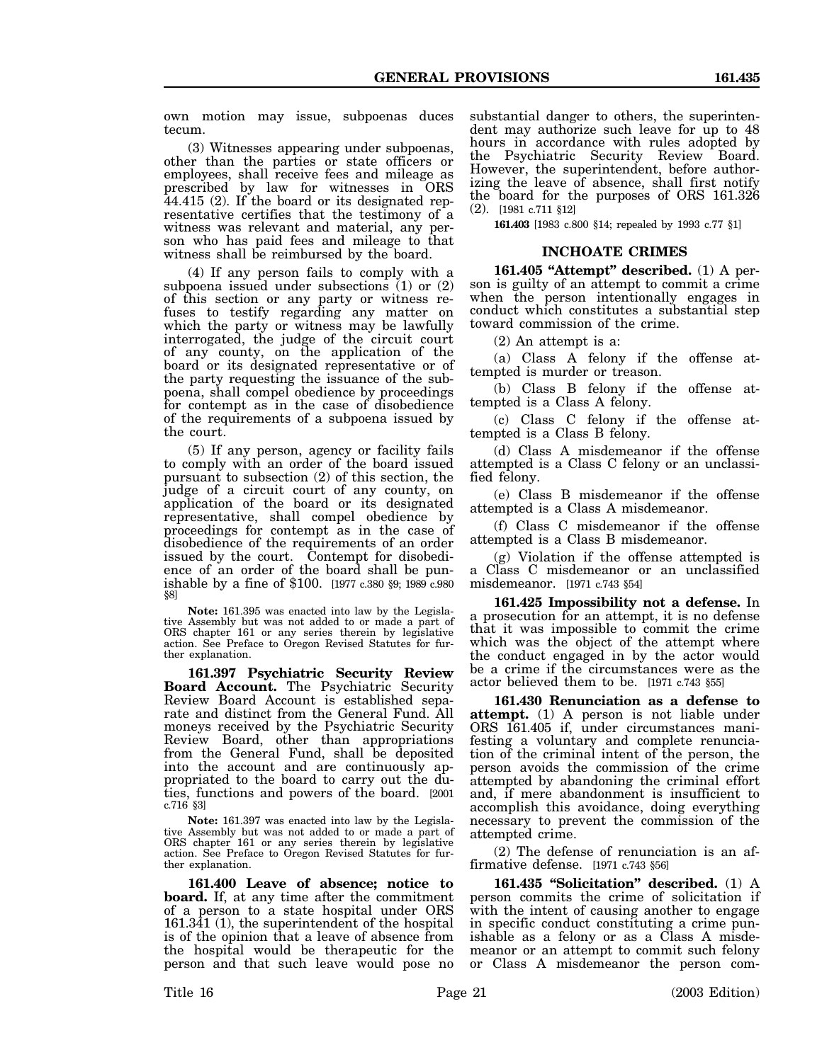own motion may issue, subpoenas duces tecum.

(3) Witnesses appearing under subpoenas, other than the parties or state officers or employees, shall receive fees and mileage as prescribed by law for witnesses in ORS 44.415 (2). If the board or its designated representative certifies that the testimony of a witness was relevant and material, any person who has paid fees and mileage to that witness shall be reimbursed by the board.

(4) If any person fails to comply with a subpoena issued under subsections (1) or (2) of this section or any party or witness refuses to testify regarding any matter on which the party or witness may be lawfully interrogated, the judge of the circuit court of any county, on the application of the board or its designated representative or of the party requesting the issuance of the subpoena, shall compel obedience by proceedings for contempt as in the case of disobedience of the requirements of a subpoena issued by the court.

(5) If any person, agency or facility fails to comply with an order of the board issued pursuant to subsection (2) of this section, the judge of a circuit court of any county, on application of the board or its designated representative, shall compel obedience by proceedings for contempt as in the case of disobedience of the requirements of an order issued by the court. Contempt for disobediishable by a fine of \$100. [1977 c.380 §9; 1989 c.980 §8]

**Note:** 161.395 was enacted into law by the Legislative Assembly but was not added to or made a part of ORS chapter 161 or any series therein by legislative action. See Preface to Oregon Revised Statutes for further explanation.

**161.397 Psychiatric Security Review Board Account.** The Psychiatric Security Review Board Account is established separate and distinct from the General Fund. All moneys received by the Psychiatric Security Review Board, other than appropriations from the General Fund, shall be deposited into the account and are continuously appropriated to the board to carry out the duties, functions and powers of the board. [2001 c.716 §3]

**Note:** 161.397 was enacted into law by the Legislative Assembly but was not added to or made a part of ORS chapter 161 or any series therein by legislative action. See Preface to Oregon Revised Statutes for further explanation.

**161.400 Leave of absence; notice to board.** If, at any time after the commitment of a person to a state hospital under ORS 161.341 (1), the superintendent of the hospital is of the opinion that a leave of absence from the hospital would be therapeutic for the person and that such leave would pose no

substantial danger to others, the superintendent may authorize such leave for up to 48 hours in accordance with rules adopted by the Psychiatric Security Review Board. However, the superintendent, before authorizing the leave of absence, shall first notify the board for the purposes of ORS 161.326 (2). [1981 c.711 §12]

**161.403** [1983 c.800 §14; repealed by 1993 c.77 §1]

#### **INCHOATE CRIMES**

**161.405 "Attempt" described.** (1) A person is guilty of an attempt to commit a crime when the person intentionally engages in conduct which constitutes a substantial step toward commission of the crime.

(2) An attempt is a:

(a) Class A felony if the offense attempted is murder or treason.

(b) Class B felony if the offense attempted is a Class A felony.

(c) Class C felony if the offense attempted is a Class B felony.

(d) Class A misdemeanor if the offense attempted is a Class C felony or an unclassified felony.

(e) Class B misdemeanor if the offense attempted is a Class A misdemeanor.

(f) Class C misdemeanor if the offense attempted is a Class B misdemeanor.

(g) Violation if the offense attempted is a Class C misdemeanor or an unclassified misdemeanor. [1971 c.743 §54]

**161.425 Impossibility not a defense.** In a prosecution for an attempt, it is no defense that it was impossible to commit the crime which was the object of the attempt where the conduct engaged in by the actor would be a crime if the circumstances were as the actor believed them to be. [1971 c.743 §55]

**161.430 Renunciation as a defense to attempt.** (1) A person is not liable under ORS 161.405 if, under circumstances manifesting a voluntary and complete renunciation of the criminal intent of the person, the person avoids the commission of the crime attempted by abandoning the criminal effort and, if mere abandonment is insufficient to accomplish this avoidance, doing everything necessary to prevent the commission of the attempted crime.

(2) The defense of renunciation is an affirmative defense. [1971 c.743 §56]

**161.435 "Solicitation" described.** (1) A person commits the crime of solicitation if with the intent of causing another to engage in specific conduct constituting a crime punishable as a felony or as a Class A misdemeanor or an attempt to commit such felony or Class A misdemeanor the person com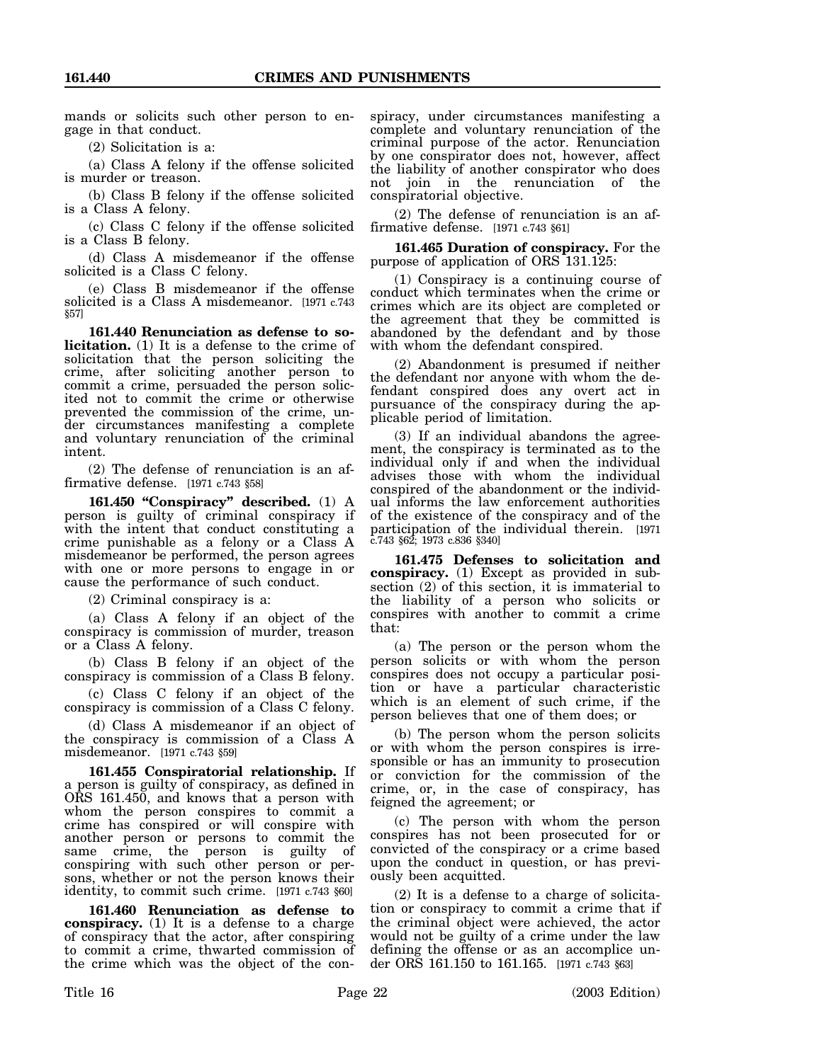mands or solicits such other person to engage in that conduct.

(2) Solicitation is a:

(a) Class A felony if the offense solicited is murder or treason.

(b) Class B felony if the offense solicited is a Class A felony.

(c) Class C felony if the offense solicited is a Class B felony.

(d) Class A misdemeanor if the offense solicited is a Class C felony.

(e) Class B misdemeanor if the offense solicited is a Class A misdemeanor. [1971 c.743 §57]

**161.440 Renunciation as defense to solicitation.** (1) It is a defense to the crime of solicitation that the person soliciting the crime, after soliciting another person to commit a crime, persuaded the person solicited not to commit the crime or otherwise prevented the commission of the crime, under circumstances manifesting a complete and voluntary renunciation of the criminal intent.

(2) The defense of renunciation is an affirmative defense. [1971 c.743 §58]

**161.450 "Conspiracy" described.** (1) A person is guilty of criminal conspiracy if with the intent that conduct constituting a crime punishable as a felony or a Class A misdemeanor be performed, the person agrees with one or more persons to engage in or cause the performance of such conduct.

(2) Criminal conspiracy is a:

(a) Class A felony if an object of the conspiracy is commission of murder, treason or a Class A felony.

(b) Class B felony if an object of the conspiracy is commission of a Class B felony.

(c) Class C felony if an object of the conspiracy is commission of a Class C felony.

(d) Class A misdemeanor if an object of the conspiracy is commission of a Class A misdemeanor. [1971 c.743 §59]

**161.455 Conspiratorial relationship.** If a person is guilty of conspiracy, as defined in ORS 161.450, and knows that a person with whom the person conspires to commit a crime has conspired or will conspire with another person or persons to commit the same crime, the person is guilty of conspiring with such other person or persons, whether or not the person knows their identity, to commit such crime. [1971 c.743 §60]

**161.460 Renunciation as defense to conspiracy.** (1) It is a defense to a charge of conspiracy that the actor, after conspiring to commit a crime, thwarted commission of the crime which was the object of the conspiracy, under circumstances manifesting a complete and voluntary renunciation of the criminal purpose of the actor. Renunciation by one conspirator does not, however, affect the liability of another conspirator who does not join in the renunciation of the conspiratorial objective.

(2) The defense of renunciation is an affirmative defense. [1971 c.743 §61]

**161.465 Duration of conspiracy.** For the purpose of application of ORS 131.125:

(1) Conspiracy is a continuing course of conduct which terminates when the crime or crimes which are its object are completed or the agreement that they be committed is abandoned by the defendant and by those with whom the defendant conspired.

(2) Abandonment is presumed if neither the defendant nor anyone with whom the defendant conspired does any overt act in pursuance of the conspiracy during the applicable period of limitation.

(3) If an individual abandons the agreement, the conspiracy is terminated as to the individual only if and when the individual advises those with whom the individual conspired of the abandonment or the individual informs the law enforcement authorities of the existence of the conspiracy and of the participation of the individual therein. [1971 c.743 §62; 1973 c.836 §340]

**161.475 Defenses to solicitation and conspiracy.** (1) Except as provided in subsection (2) of this section, it is immaterial to the liability of a person who solicits or conspires with another to commit a crime that:

(a) The person or the person whom the person solicits or with whom the person conspires does not occupy a particular position or have a particular characteristic which is an element of such crime, if the person believes that one of them does; or

(b) The person whom the person solicits or with whom the person conspires is irresponsible or has an immunity to prosecution or conviction for the commission of the crime, or, in the case of conspiracy, has feigned the agreement; or

(c) The person with whom the person conspires has not been prosecuted for or convicted of the conspiracy or a crime based upon the conduct in question, or has previously been acquitted.

(2) It is a defense to a charge of solicitation or conspiracy to commit a crime that if the criminal object were achieved, the actor would not be guilty of a crime under the law defining the offense or as an accomplice under ORS 161.150 to 161.165. [1971 c.743 §63]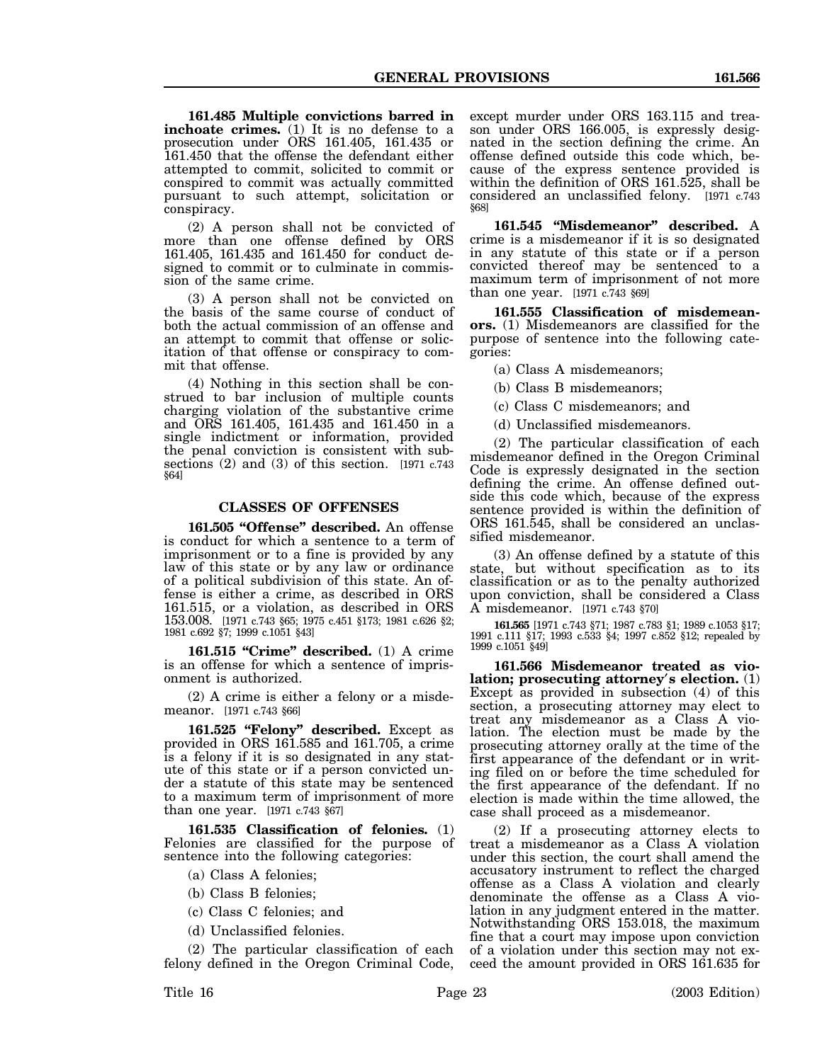**161.485 Multiple convictions barred in inchoate crimes.** (1) It is no defense to a prosecution under ORS 161.405, 161.435 or 161.450 that the offense the defendant either attempted to commit, solicited to commit or conspired to commit was actually committed pursuant to such attempt, solicitation or conspiracy.

(2) A person shall not be convicted of more than one offense defined by ORS 161.405, 161.435 and 161.450 for conduct designed to commit or to culminate in commission of the same crime.

(3) A person shall not be convicted on the basis of the same course of conduct of both the actual commission of an offense and an attempt to commit that offense or solicitation of that offense or conspiracy to commit that offense.

(4) Nothing in this section shall be construed to bar inclusion of multiple counts charging violation of the substantive crime and ORS 161.405, 161.435 and 161.450 in a single indictment or information, provided the penal conviction is consistent with subsections  $(2)$  and  $(3)$  of this section. [1971 c.743]  $\sqrt[5]{64}$ 

## **CLASSES OF OFFENSES**

**161.505 "Offense" described.** An offense is conduct for which a sentence to a term of imprisonment or to a fine is provided by any law of this state or by any law or ordinance of a political subdivision of this state. An offense is either a crime, as described in ORS 161.515, or a violation, as described in ORS 153.008. [1971 c.743 §65; 1975 c.451 §173; 1981 c.626 §2; 1981 c.692 §7; 1999 c.1051 §43]

**161.515 "Crime" described.** (1) A crime is an offense for which a sentence of imprisonment is authorized.

(2) A crime is either a felony or a misdemeanor. [1971 c.743 §66]

**161.525 "Felony" described.** Except as provided in ORS 161.585 and 161.705, a crime is a felony if it is so designated in any statute of this state or if a person convicted under a statute of this state may be sentenced to a maximum term of imprisonment of more than one year. [1971 c.743 §67]

**161.535 Classification of felonies.** (1) Felonies are classified for the purpose of sentence into the following categories:

(a) Class A felonies;

- (b) Class B felonies;
- (c) Class C felonies; and

(d) Unclassified felonies.

(2) The particular classification of each felony defined in the Oregon Criminal Code, except murder under ORS 163.115 and treason under ORS 166.005, is expressly designated in the section defining the crime. An offense defined outside this code which, because of the express sentence provided is within the definition of ORS 161.525, shall be considered an unclassified felony. [1971 c.743 §68]

**161.545 "Misdemeanor" described.** A crime is a misdemeanor if it is so designated in any statute of this state or if a person convicted thereof may be sentenced to a maximum term of imprisonment of not more than one year. [1971 c.743 §69]

**161.555 Classification of misdemeanors.** (1) Misdemeanors are classified for the purpose of sentence into the following categories:

(a) Class A misdemeanors;

(b) Class B misdemeanors;

(c) Class C misdemeanors; and

(d) Unclassified misdemeanors.

(2) The particular classification of each misdemeanor defined in the Oregon Criminal Code is expressly designated in the section defining the crime. An offense defined outside this code which, because of the express sentence provided is within the definition of ORS 161.545, shall be considered an unclassified misdemeanor.

(3) An offense defined by a statute of this state, but without specification as to its classification or as to the penalty authorized upon conviction, shall be considered a Class A misdemeanor. [1971 c.743 §70]

**161.565** [1971 c.743 §71; 1987 c.783 §1; 1989 c.1053 §17; 1991 c.111 §17; 1993 c.533 §4; 1997 c.852 §12; repealed by 1999 c.1051 §49]

**161.566 Misdemeanor treated as violation; prosecuting attorney**′**s election.** (1) Except as provided in subsection (4) of this section, a prosecuting attorney may elect to treat any misdemeanor as a Class A violation. The election must be made by the prosecuting attorney orally at the time of the first appearance of the defendant or in writing filed on or before the time scheduled for the first appearance of the defendant. If no election is made within the time allowed, the case shall proceed as a misdemeanor.

(2) If a prosecuting attorney elects to treat a misdemeanor as a Class A violation under this section, the court shall amend the accusatory instrument to reflect the charged offense as a Class A violation and clearly denominate the offense as a Class A violation in any judgment entered in the matter. Notwithstanding ORS 153.018, the maximum fine that a court may impose upon conviction of a violation under this section may not exceed the amount provided in ORS 161.635 for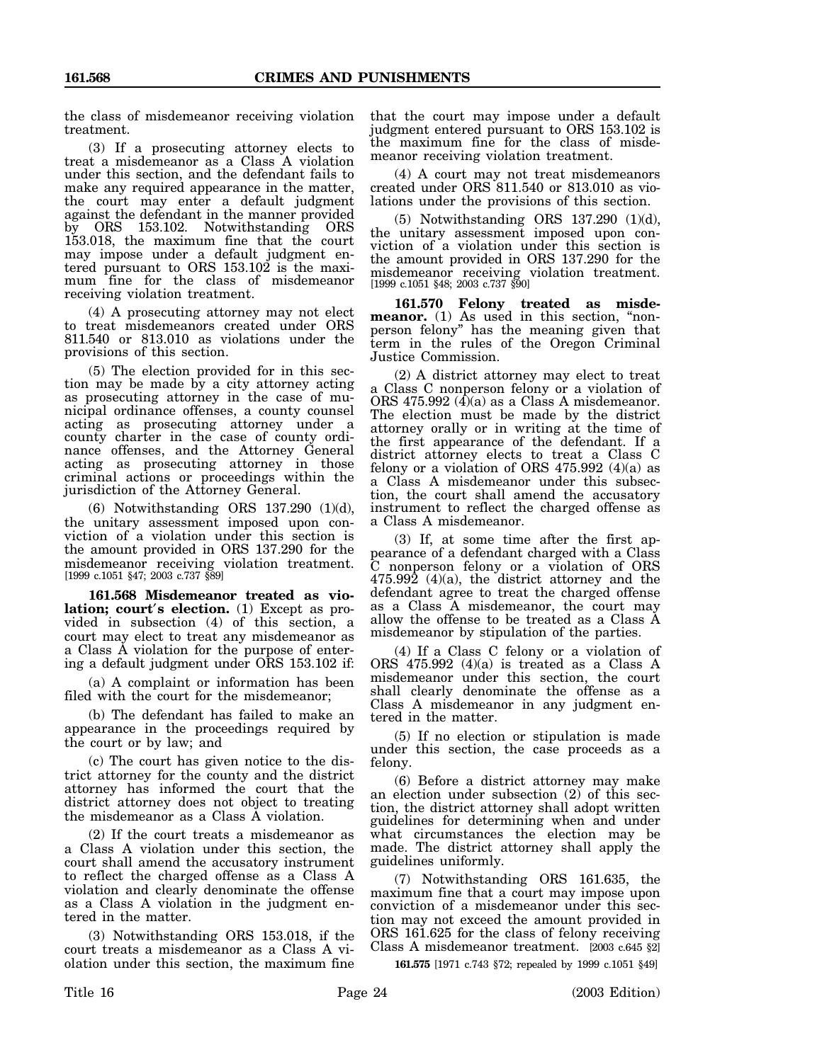the class of misdemeanor receiving violation treatment.

(3) If a prosecuting attorney elects to treat a misdemeanor as a Class A violation under this section, and the defendant fails to make any required appearance in the matter, the court may enter a default judgment against the defendant in the manner provided by ORS 153.102. Notwithstanding ORS 153.018, the maximum fine that the court may impose under a default judgment entered pursuant to ORS 153.102 is the maximum fine for the class of misdemeanor receiving violation treatment.

(4) A prosecuting attorney may not elect to treat misdemeanors created under ORS 811.540 or 813.010 as violations under the provisions of this section.

(5) The election provided for in this section may be made by a city attorney acting as prosecuting attorney in the case of municipal ordinance offenses, a county counsel acting as prosecuting attorney under a county charter in the case of county ordinance offenses, and the Attorney General acting as prosecuting attorney in those criminal actions or proceedings within the jurisdiction of the Attorney General.

(6) Notwithstanding ORS 137.290 (1)(d), the unitary assessment imposed upon conviction of a violation under this section is the amount provided in ORS 137.290 for the misdemeanor receiving violation treatment. [1999 c.1051 §47; 2003 c.737 §89]

**161.568 Misdemeanor treated as violation; court**′**s election.** (1) Except as provided in subsection (4) of this section, a court may elect to treat any misdemeanor as a Class A violation for the purpose of entering a default judgment under ORS 153.102 if:

(a) A complaint or information has been filed with the court for the misdemeanor;

(b) The defendant has failed to make an appearance in the proceedings required by the court or by law; and

(c) The court has given notice to the district attorney for the county and the district attorney has informed the court that the district attorney does not object to treating the misdemeanor as a Class A violation.

(2) If the court treats a misdemeanor as a Class A violation under this section, the court shall amend the accusatory instrument to reflect the charged offense as a Class A violation and clearly denominate the offense as a Class A violation in the judgment entered in the matter.

(3) Notwithstanding ORS 153.018, if the court treats a misdemeanor as a Class A violation under this section, the maximum fine that the court may impose under a default judgment entered pursuant to ORS 153.102 is the maximum fine for the class of misdemeanor receiving violation treatment.

(4) A court may not treat misdemeanors created under ORS 811.540 or 813.010 as violations under the provisions of this section.

(5) Notwithstanding ORS 137.290 (1)(d), the unitary assessment imposed upon conviction of a violation under this section is the amount provided in ORS 137.290 for the misdemeanor receiving violation treatment. [1999 c.1051 §48; 2003 c.737 §90]

**161.570 Felony treated as misdemeanor.** (1) As used in this section, "nonperson felony" has the meaning given that term in the rules of the Oregon Criminal Justice Commission.

(2) A district attorney may elect to treat a Class C nonperson felony or a violation of ORS 475.992 (4)(a) as a Class A misdemeanor. The election must be made by the district attorney orally or in writing at the time of the first appearance of the defendant. If a district attorney elects to treat a Class C felony or a violation of ORS  $475.992$  (4)(a) as a Class A misdemeanor under this subsection, the court shall amend the accusatory instrument to reflect the charged offense as a Class A misdemeanor.

(3) If, at some time after the first appearance of a defendant charged with a Class C nonperson felony or a violation of ORS 475.992 (4)(a), the district attorney and the defendant agree to treat the charged offense as a Class A misdemeanor, the court may allow the offense to be treated as a Class A misdemeanor by stipulation of the parties.

(4) If a Class C felony or a violation of ORS 475.992 (4)(a) is treated as a Class A misdemeanor under this section, the court shall clearly denominate the offense as a Class A misdemeanor in any judgment entered in the matter.

(5) If no election or stipulation is made under this section, the case proceeds as a felony.

(6) Before a district attorney may make an election under subsection (2) of this section, the district attorney shall adopt written guidelines for determining when and under what circumstances the election may be made. The district attorney shall apply the guidelines uniformly.

(7) Notwithstanding ORS 161.635, the maximum fine that a court may impose upon conviction of a misdemeanor under this section may not exceed the amount provided in ORS 161.625 for the class of felony receiving Class A misdemeanor treatment. [2003 c.645 §2]

**161.575** [1971 c.743 §72; repealed by 1999 c.1051 §49]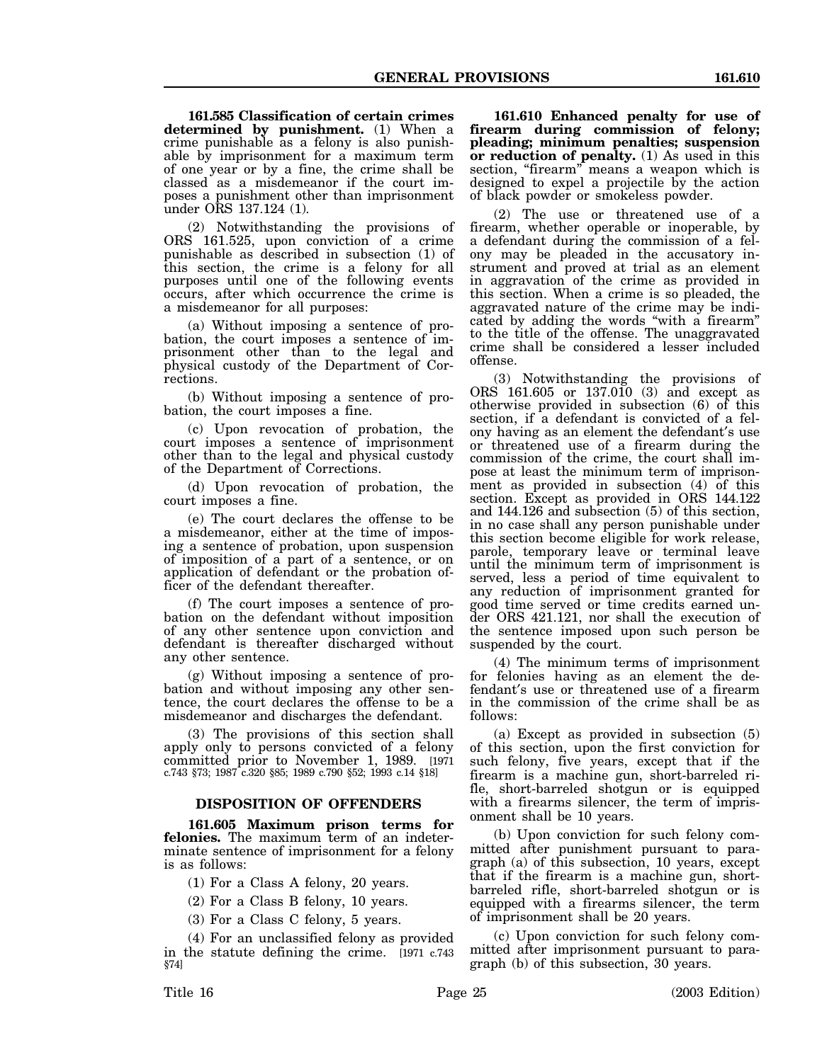**161.585 Classification of certain crimes determined by punishment.** (1) When a crime punishable as a felony is also punishable by imprisonment for a maximum term of one year or by a fine, the crime shall be classed as a misdemeanor if the court imposes a punishment other than imprisonment under ORS 137.124 (1).

(2) Notwithstanding the provisions of ORS 161.525, upon conviction of a crime punishable as described in subsection (1) of this section, the crime is a felony for all purposes until one of the following events occurs, after which occurrence the crime is a misdemeanor for all purposes:

(a) Without imposing a sentence of probation, the court imposes a sentence of imprisonment other than to the legal and physical custody of the Department of Corrections.

(b) Without imposing a sentence of probation, the court imposes a fine.

(c) Upon revocation of probation, the court imposes a sentence of imprisonment other than to the legal and physical custody of the Department of Corrections.

(d) Upon revocation of probation, the court imposes a fine.

(e) The court declares the offense to be a misdemeanor, either at the time of imposing a sentence of probation, upon suspension of imposition of a part of a sentence, or on application of defendant or the probation officer of the defendant thereafter.

(f) The court imposes a sentence of probation on the defendant without imposition of any other sentence upon conviction and defendant is thereafter discharged without any other sentence.

(g) Without imposing a sentence of probation and without imposing any other sentence, the court declares the offense to be a misdemeanor and discharges the defendant.

(3) The provisions of this section shall apply only to persons convicted of a felony committed prior to November 1, 1989. [1971 c.743 §73; 1987 c.320 §85; 1989 c.790 §52; 1993 c.14 §18]

## **DISPOSITION OF OFFENDERS**

**161.605 Maximum prison terms for felonies.** The maximum term of an indeterminate sentence of imprisonment for a felony is as follows:

(1) For a Class A felony, 20 years.

(2) For a Class B felony, 10 years.

(3) For a Class C felony, 5 years.

(4) For an unclassified felony as provided in the statute defining the crime. [1971 c.743 §74]

**161.610 Enhanced penalty for use of firearm during commission of felony; pleading; minimum penalties; suspension or reduction of penalty.** (1) As used in this section, "firearm" means a weapon which is designed to expel a projectile by the action of black powder or smokeless powder.

(2) The use or threatened use of a firearm, whether operable or inoperable, by a defendant during the commission of a felony may be pleaded in the accusatory instrument and proved at trial as an element in aggravation of the crime as provided in this section. When a crime is so pleaded, the aggravated nature of the crime may be indicated by adding the words "with a firearm" to the title of the offense. The unaggravated crime shall be considered a lesser included offense.

(3) Notwithstanding the provisions of ORS 161.605 or 137.010 (3) and except as otherwise provided in subsection (6) of this section, if a defendant is convicted of a felony having as an element the defendant′s use or threatened use of a firearm during the commission of the crime, the court shall impose at least the minimum term of imprisonment as provided in subsection (4) of this section. Except as provided in ORS 144.122 and 144.126 and subsection (5) of this section, in no case shall any person punishable under this section become eligible for work release, parole, temporary leave or terminal leave until the minimum term of imprisonment is served, less a period of time equivalent to any reduction of imprisonment granted for good time served or time credits earned under ORS 421.121, nor shall the execution of the sentence imposed upon such person be suspended by the court.

(4) The minimum terms of imprisonment for felonies having as an element the defendant′s use or threatened use of a firearm in the commission of the crime shall be as follows:

(a) Except as provided in subsection (5) of this section, upon the first conviction for such felony, five years, except that if the firearm is a machine gun, short-barreled rifle, short-barreled shotgun or is equipped with a firearms silencer, the term of imprisonment shall be 10 years.

(b) Upon conviction for such felony committed after punishment pursuant to paragraph (a) of this subsection, 10 years, except that if the firearm is a machine gun, shortbarreled rifle, short-barreled shotgun or is equipped with a firearms silencer, the term of imprisonment shall be 20 years.

(c) Upon conviction for such felony committed after imprisonment pursuant to paragraph (b) of this subsection, 30 years.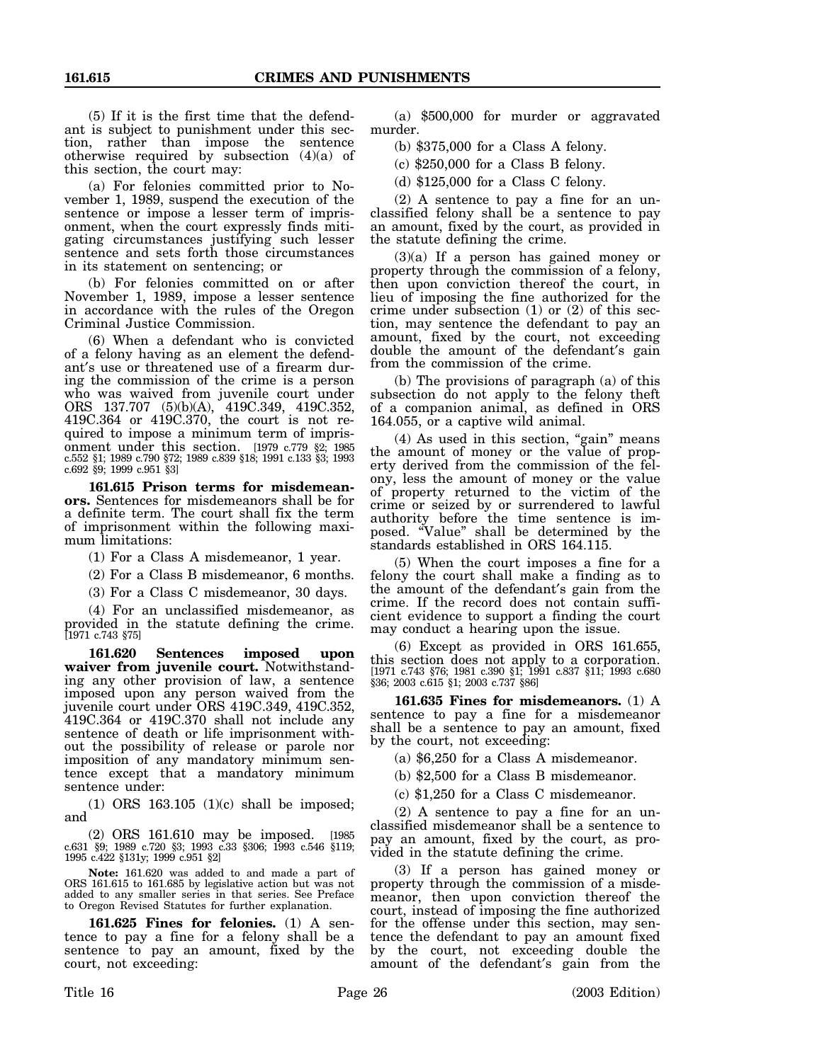(5) If it is the first time that the defendant is subject to punishment under this section, rather than impose the sentence otherwise required by subsection (4)(a) of this section, the court may:

(a) For felonies committed prior to November 1, 1989, suspend the execution of the sentence or impose a lesser term of imprisonment, when the court expressly finds mitigating circumstances justifying such lesser sentence and sets forth those circumstances in its statement on sentencing; or

(b) For felonies committed on or after November 1, 1989, impose a lesser sentence in accordance with the rules of the Oregon Criminal Justice Commission.

(6) When a defendant who is convicted of a felony having as an element the defendant′s use or threatened use of a firearm during the commission of the crime is a person who was waived from juvenile court under ORS 137.707 (5)(b)(A), 419C.349, 419C.352, 419C.364 or 419C.370, the court is not required to impose a minimum term of imprisonment under this section. [1979 c.779 §2; 1985 c.552 §1; 1989 c.790 §72; 1989 c.839 §18; 1991 c.133 §3; 1993 c.692 §9; 1999 c.951 §3]

**161.615 Prison terms for misdemeanors.** Sentences for misdemeanors shall be for a definite term. The court shall fix the term of imprisonment within the following maximum limitations:

(1) For a Class A misdemeanor, 1 year.

(2) For a Class B misdemeanor, 6 months.

(3) For a Class C misdemeanor, 30 days.

(4) For an unclassified misdemeanor, as provided in the statute defining the crime. [1971 c.743 §75]

**161.620 Sentences imposed upon waiver from juvenile court.** Notwithstanding any other provision of law, a sentence imposed upon any person waived from the juvenile court under ORS 419C.349, 419C.352, 419C.364 or 419C.370 shall not include any sentence of death or life imprisonment without the possibility of release or parole nor imposition of any mandatory minimum sentence except that a mandatory minimum sentence under:

(1) ORS 163.105 (1)(c) shall be imposed; and

(2) ORS 161.610 may be imposed. [1985 c.631 §9; 1989 c.720 §3; 1993 c.33 §306; 1993 c.546 §119; 1995 c.422 §131y; 1999 c.951 §2]

**Note:** 161.620 was added to and made a part of ORS 161.615 to 161.685 by legislative action but was not added to any smaller series in that series. See Preface to Oregon Revised Statutes for further explanation.

**161.625 Fines for felonies.** (1) A sentence to pay a fine for a felony shall be a sentence to pay an amount, fixed by the court, not exceeding:

(a) \$500,000 for murder or aggravated murder.

(b) \$375,000 for a Class A felony.

(c) \$250,000 for a Class B felony.

(d) \$125,000 for a Class C felony.

(2) A sentence to pay a fine for an unclassified felony shall be a sentence to pay an amount, fixed by the court, as provided in the statute defining the crime.

(3)(a) If a person has gained money or property through the commission of a felony, then upon conviction thereof the court, in lieu of imposing the fine authorized for the crime under subsection (1) or (2) of this section, may sentence the defendant to pay an amount, fixed by the court, not exceeding double the amount of the defendant′s gain from the commission of the crime.

(b) The provisions of paragraph (a) of this subsection do not apply to the felony theft of a companion animal, as defined in ORS 164.055, or a captive wild animal.

(4) As used in this section, "gain" means the amount of money or the value of property derived from the commission of the felony, less the amount of money or the value of property returned to the victim of the crime or seized by or surrendered to lawful authority before the time sentence is imposed. "Value" shall be determined by the standards established in ORS 164.115.

(5) When the court imposes a fine for a felony the court shall make a finding as to the amount of the defendant′s gain from the crime. If the record does not contain sufficient evidence to support a finding the court may conduct a hearing upon the issue.

(6) Except as provided in ORS 161.655, this section does not apply to a corporation. [1971 c.743 §76; 1981 c.390 §1; 1991 c.837 §11; 1993 c.680 §36; 2003 c.615 §1; 2003 c.737 §86]

**161.635 Fines for misdemeanors.** (1) A sentence to pay a fine for a misdemeanor shall be a sentence to pay an amount, fixed by the court, not exceeding:

(a) \$6,250 for a Class A misdemeanor.

(b) \$2,500 for a Class B misdemeanor.

(c) \$1,250 for a Class C misdemeanor.

(2) A sentence to pay a fine for an unclassified misdemeanor shall be a sentence to pay an amount, fixed by the court, as provided in the statute defining the crime.

(3) If a person has gained money or property through the commission of a misdemeanor, then upon conviction thereof the court, instead of imposing the fine authorized for the offense under this section, may sentence the defendant to pay an amount fixed by the court, not exceeding double the amount of the defendant′s gain from the

Title 16 Page 26 (2003 Edition)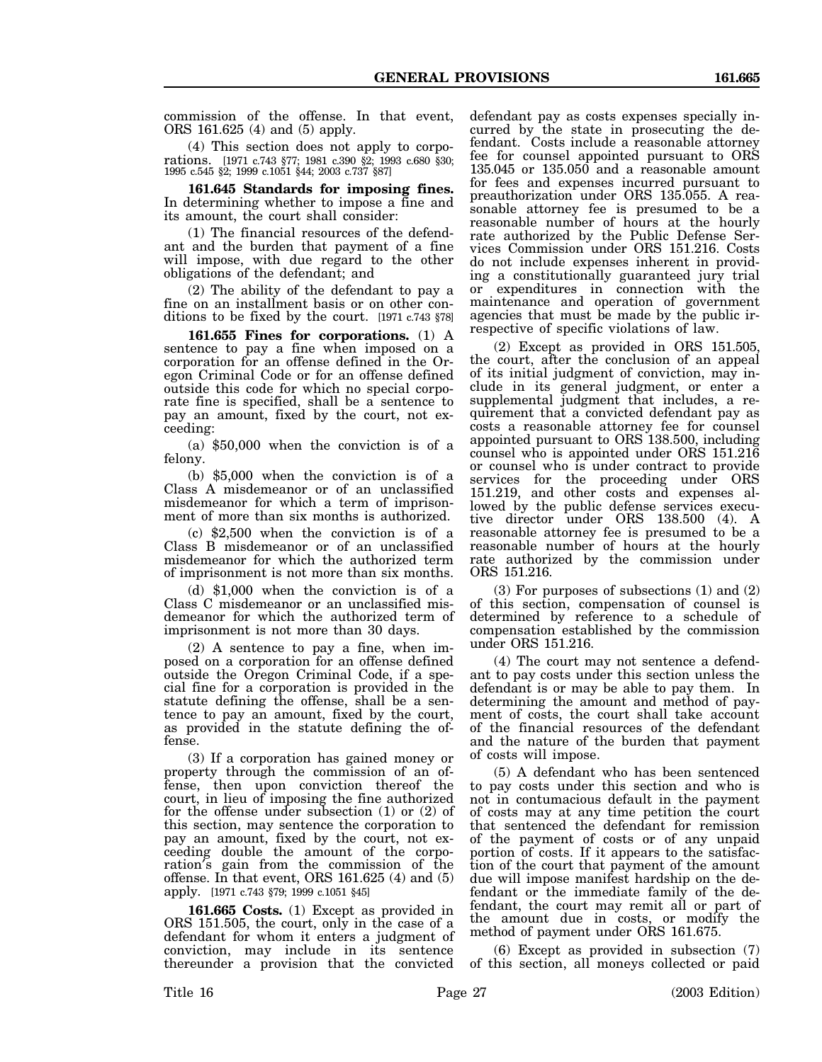commission of the offense. In that event, ORS 161.625 (4) and (5) apply.

(4) This section does not apply to corporations. [1971 c.743 §77; 1981 c.390 §2; 1993 c.680 §30; 1995 c.545 §2; 1999 c.1051 §44; 2003 c.737 §87]

**161.645 Standards for imposing fines.** In determining whether to impose a fine and its amount, the court shall consider:

(1) The financial resources of the defendant and the burden that payment of a fine will impose, with due regard to the other obligations of the defendant; and

(2) The ability of the defendant to pay a fine on an installment basis or on other conditions to be fixed by the court. [1971 c.743 §78]

**161.655 Fines for corporations.** (1) A sentence to pay a fine when imposed on a corporation for an offense defined in the Oregon Criminal Code or for an offense defined outside this code for which no special corporate fine is specified, shall be a sentence to pay an amount, fixed by the court, not exceeding:

(a) \$50,000 when the conviction is of a felony.

(b) \$5,000 when the conviction is of a Class A misdemeanor or of an unclassified misdemeanor for which a term of imprisonment of more than six months is authorized.

(c) \$2,500 when the conviction is of a Class B misdemeanor or of an unclassified misdemeanor for which the authorized term of imprisonment is not more than six months.

(d) \$1,000 when the conviction is of a Class C misdemeanor or an unclassified misdemeanor for which the authorized term of imprisonment is not more than 30 days.

(2) A sentence to pay a fine, when imposed on a corporation for an offense defined outside the Oregon Criminal Code, if a special fine for a corporation is provided in the statute defining the offense, shall be a sentence to pay an amount, fixed by the court, as provided in the statute defining the offense.

(3) If a corporation has gained money or property through the commission of an offense, then upon conviction thereof the court, in lieu of imposing the fine authorized for the offense under subsection (1) or (2) of this section, may sentence the corporation to pay an amount, fixed by the court, not exceeding double the amount of the corporation′s gain from the commission of the offense. In that event, ORS 161.625 (4) and (5) apply. [1971 c.743 §79; 1999 c.1051 §45]

**161.665 Costs.** (1) Except as provided in ORS 151.505, the court, only in the case of a defendant for whom it enters a judgment of conviction, may include in its sentence thereunder a provision that the convicted

defendant pay as costs expenses specially incurred by the state in prosecuting the defendant. Costs include a reasonable attorney fee for counsel appointed pursuant to ORS 135.045 or 135.050 and a reasonable amount for fees and expenses incurred pursuant to preauthorization under ORS 135.055. A reasonable attorney fee is presumed to be a reasonable number of hours at the hourly rate authorized by the Public Defense Services Commission under ORS 151.216. Costs do not include expenses inherent in providing a constitutionally guaranteed jury trial or expenditures in connection with the maintenance and operation of government agencies that must be made by the public irrespective of specific violations of law.

(2) Except as provided in ORS 151.505, the court, after the conclusion of an appeal of its initial judgment of conviction, may include in its general judgment, or enter a supplemental judgment that includes, a requirement that a convicted defendant pay as costs a reasonable attorney fee for counsel appointed pursuant to ORS 138.500, including counsel who is appointed under ORS 151.216 or counsel who is under contract to provide services for the proceeding under ORS 151.219, and other costs and expenses allowed by the public defense services executive director under ORS 138.500 (4). A reasonable attorney fee is presumed to be a reasonable number of hours at the hourly rate authorized by the commission under ORS 151.216.

(3) For purposes of subsections (1) and (2) of this section, compensation of counsel is determined by reference to a schedule of compensation established by the commission under ORS 151.216.

(4) The court may not sentence a defendant to pay costs under this section unless the defendant is or may be able to pay them. In determining the amount and method of payment of costs, the court shall take account of the financial resources of the defendant and the nature of the burden that payment of costs will impose.

(5) A defendant who has been sentenced to pay costs under this section and who is not in contumacious default in the payment of costs may at any time petition the court that sentenced the defendant for remission of the payment of costs or of any unpaid portion of costs. If it appears to the satisfaction of the court that payment of the amount due will impose manifest hardship on the defendant or the immediate family of the defendant, the court may remit all or part of the amount due in costs, or modify the method of payment under ORS 161.675.

(6) Except as provided in subsection (7) of this section, all moneys collected or paid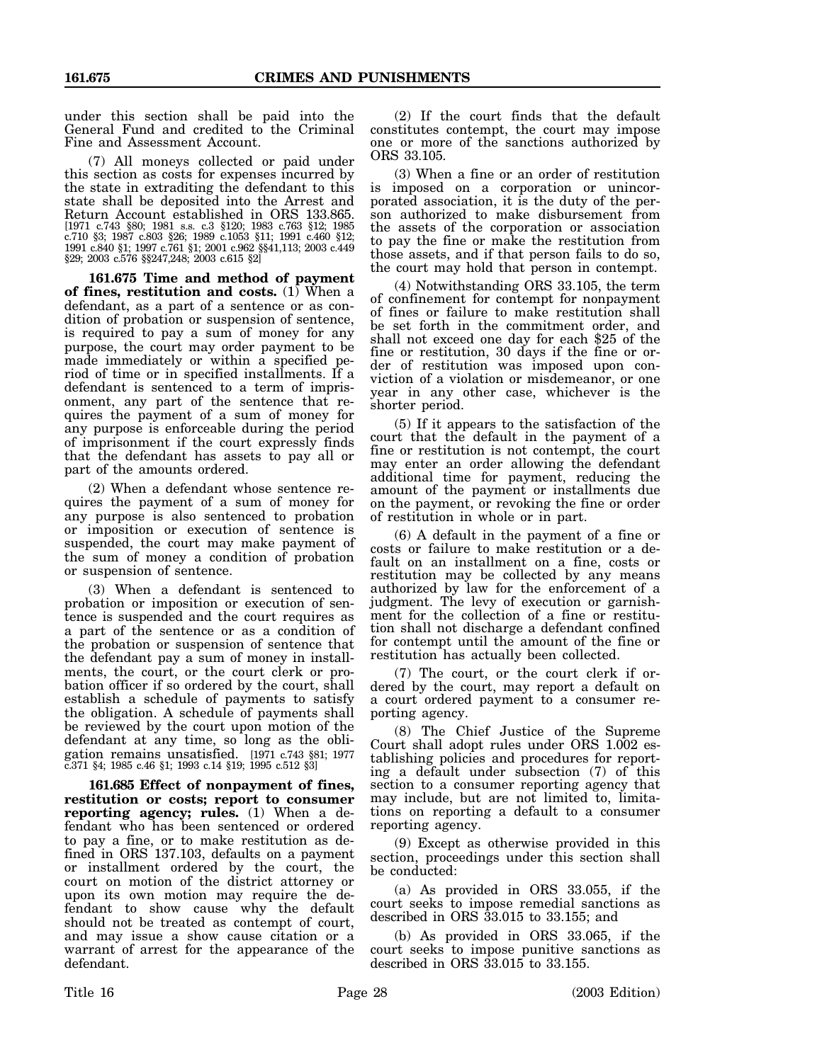under this section shall be paid into the General Fund and credited to the Criminal Fine and Assessment Account.

(7) All moneys collected or paid under this section as costs for expenses incurred by the state in extraditing the defendant to this state shall be deposited into the Arrest and Return Account established in ORS 133.865. [1971 c.743 §80; 1981 s.s. c.3 §120; 1983 c.763 §12; 1985 c.710 §3; 1987 c.803 §26; 1989 c.1053 §11; 1991 c.460 §12; 1991 c.840 §1; 1997 c.761 §1; 2001 c.962 §§41,113; 2003 c.449 §29; 2003 c.576 §§247,248; 2003 c.615 §2]

**161.675 Time and method of payment of fines, restitution and costs.** (1) When a defendant, as a part of a sentence or as condition of probation or suspension of sentence, is required to pay a sum of money for any purpose, the court may order payment to be made immediately or within a specified period of time or in specified installments. If a defendant is sentenced to a term of imprisonment, any part of the sentence that requires the payment of a sum of money for any purpose is enforceable during the period of imprisonment if the court expressly finds that the defendant has assets to pay all or part of the amounts ordered.

(2) When a defendant whose sentence requires the payment of a sum of money for any purpose is also sentenced to probation or imposition or execution of sentence is suspended, the court may make payment of the sum of money a condition of probation or suspension of sentence.

(3) When a defendant is sentenced to probation or imposition or execution of sentence is suspended and the court requires as a part of the sentence or as a condition of the probation or suspension of sentence that the defendant pay a sum of money in installments, the court, or the court clerk or probation officer if so ordered by the court, shall establish a schedule of payments to satisfy the obligation. A schedule of payments shall be reviewed by the court upon motion of the defendant at any time, so long as the obligation remains unsatisfied. [1971 c.743 §81; 1977 c.371 §4; 1985 c.46 §1; 1993 c.14 §19; 1995 c.512 §3]

**161.685 Effect of nonpayment of fines, restitution or costs; report to consumer reporting agency; rules.** (1) When a defendant who has been sentenced or ordered to pay a fine, or to make restitution as defined in ORS 137.103, defaults on a payment or installment ordered by the court, the court on motion of the district attorney or upon its own motion may require the defendant to show cause why the default should not be treated as contempt of court, and may issue a show cause citation or a warrant of arrest for the appearance of the defendant.

(2) If the court finds that the default constitutes contempt, the court may impose one or more of the sanctions authorized by ORS 33.105.

(3) When a fine or an order of restitution is imposed on a corporation or unincorporated association, it is the duty of the person authorized to make disbursement from the assets of the corporation or association to pay the fine or make the restitution from those assets, and if that person fails to do so, the court may hold that person in contempt.

(4) Notwithstanding ORS 33.105, the term of confinement for contempt for nonpayment of fines or failure to make restitution shall be set forth in the commitment order, and shall not exceed one day for each \$25 of the fine or restitution, 30 days if the fine or order of restitution was imposed upon conviction of a violation or misdemeanor, or one year in any other case, whichever is the shorter period.

(5) If it appears to the satisfaction of the court that the default in the payment of a fine or restitution is not contempt, the court may enter an order allowing the defendant additional time for payment, reducing the amount of the payment or installments due on the payment, or revoking the fine or order of restitution in whole or in part.

(6) A default in the payment of a fine or costs or failure to make restitution or a default on an installment on a fine, costs or restitution may be collected by any means authorized by law for the enforcement of a judgment. The levy of execution or garnishment for the collection of a fine or restitution shall not discharge a defendant confined for contempt until the amount of the fine or restitution has actually been collected.

(7) The court, or the court clerk if ordered by the court, may report a default on a court ordered payment to a consumer reporting agency.

(8) The Chief Justice of the Supreme Court shall adopt rules under ORS 1.002 establishing policies and procedures for reporting a default under subsection (7) of this section to a consumer reporting agency that may include, but are not limited to, limitations on reporting a default to a consumer reporting agency.

(9) Except as otherwise provided in this section, proceedings under this section shall be conducted:

(a) As provided in ORS 33.055, if the court seeks to impose remedial sanctions as described in ORS 33.015 to 33.155; and

(b) As provided in ORS 33.065, if the court seeks to impose punitive sanctions as described in ORS 33.015 to 33.155.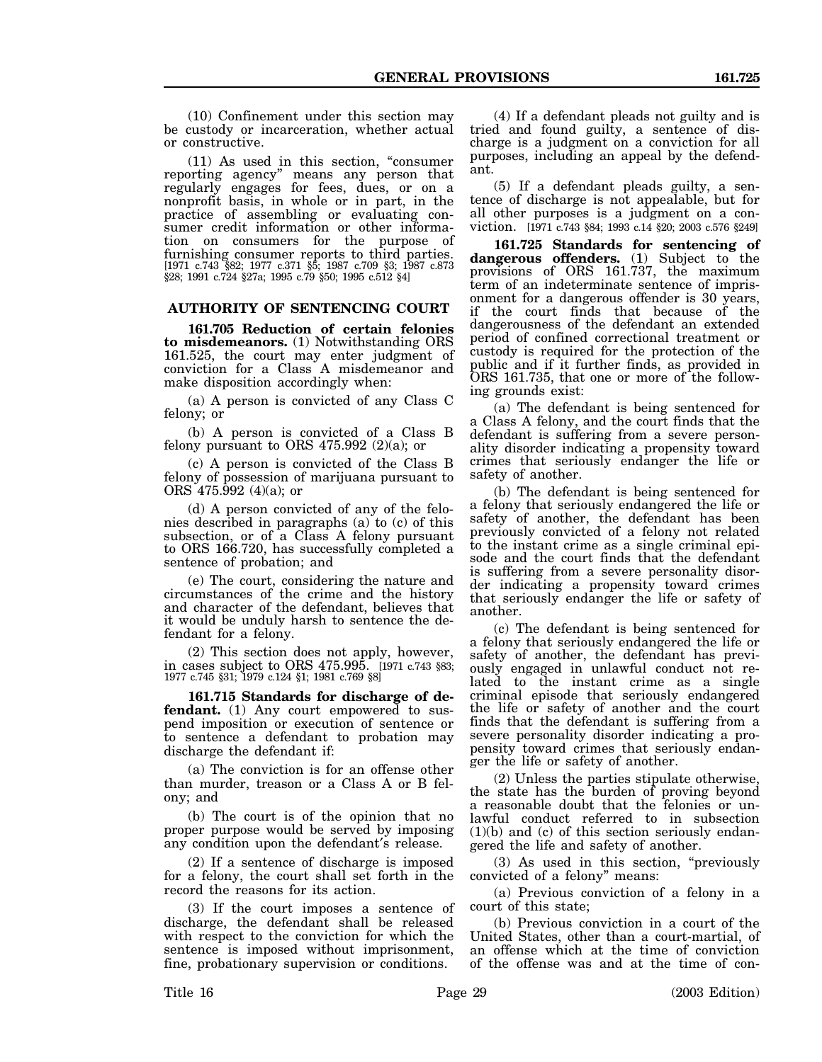(10) Confinement under this section may be custody or incarceration, whether actual or constructive.

(11) As used in this section, "consumer reporting agency" means any person that regularly engages for fees, dues, or on a nonprofit basis, in whole or in part, in the practice of assembling or evaluating consumer credit information or other information on consumers for the purpose of furnishing consumer reports to third parties. [1971 c.743 §82; 1977 c.371 §5; 1987 c.709 §3; 1987 c.873 §28; 1991 c.724 §27a; 1995 c.79 §50; 1995 c.512 §4]

## **AUTHORITY OF SENTENCING COURT**

**161.705 Reduction of certain felonies to misdemeanors.** (1) Notwithstanding ORS 161.525, the court may enter judgment of conviction for a Class A misdemeanor and make disposition accordingly when:

(a) A person is convicted of any Class C felony; or

(b) A person is convicted of a Class B felony pursuant to ORS  $475.992$  (2)(a); or

(c) A person is convicted of the Class B felony of possession of marijuana pursuant to ORS 475.992 (4)(a); or

(d) A person convicted of any of the felonies described in paragraphs (a) to (c) of this subsection, or of a Class A felony pursuant to ORS 166.720, has successfully completed a sentence of probation; and

(e) The court, considering the nature and circumstances of the crime and the history and character of the defendant, believes that it would be unduly harsh to sentence the defendant for a felony.

(2) This section does not apply, however, in cases subject to ORS 475.995. [1971 c.743 §83; 1977 c.745 §31; 1979 c.124 §1; 1981 c.769 §8]

**161.715 Standards for discharge of defendant.** (1) Any court empowered to suspend imposition or execution of sentence or to sentence a defendant to probation may discharge the defendant if:

(a) The conviction is for an offense other than murder, treason or a Class A or B felony; and

(b) The court is of the opinion that no proper purpose would be served by imposing any condition upon the defendant′s release.

(2) If a sentence of discharge is imposed for a felony, the court shall set forth in the record the reasons for its action.

(3) If the court imposes a sentence of discharge, the defendant shall be released with respect to the conviction for which the sentence is imposed without imprisonment, fine, probationary supervision or conditions.

(4) If a defendant pleads not guilty and is tried and found guilty, a sentence of discharge is a judgment on a conviction for all purposes, including an appeal by the defendant.

(5) If a defendant pleads guilty, a sentence of discharge is not appealable, but for all other purposes is a judgment on a conviction. [1971 c.743 §84; 1993 c.14 §20; 2003 c.576 §249]

**161.725 Standards for sentencing of dangerous offenders.** (1) Subject to the provisions of ORS 161.737, the maximum term of an indeterminate sentence of imprisonment for a dangerous offender is 30 years, if the court finds that because of the dangerousness of the defendant an extended period of confined correctional treatment or custody is required for the protection of the public and if it further finds, as provided in ORS 161.735, that one or more of the following grounds exist:

(a) The defendant is being sentenced for a Class A felony, and the court finds that the defendant is suffering from a severe personality disorder indicating a propensity toward crimes that seriously endanger the life or safety of another.

(b) The defendant is being sentenced for a felony that seriously endangered the life or safety of another, the defendant has been previously convicted of a felony not related to the instant crime as a single criminal episode and the court finds that the defendant is suffering from a severe personality disorder indicating a propensity toward crimes that seriously endanger the life or safety of another.

(c) The defendant is being sentenced for a felony that seriously endangered the life or safety of another, the defendant has previously engaged in unlawful conduct not related to the instant crime as a single criminal episode that seriously endangered the life or safety of another and the court finds that the defendant is suffering from a severe personality disorder indicating a propensity toward crimes that seriously endanger the life or safety of another.

(2) Unless the parties stipulate otherwise, the state has the burden of proving beyond a reasonable doubt that the felonies or unlawful conduct referred to in subsection  $(1)(b)$  and  $(c)$  of this section seriously endangered the life and safety of another.

(3) As used in this section, "previously convicted of a felony" means:

(a) Previous conviction of a felony in a court of this state;

(b) Previous conviction in a court of the United States, other than a court-martial, of an offense which at the time of conviction of the offense was and at the time of con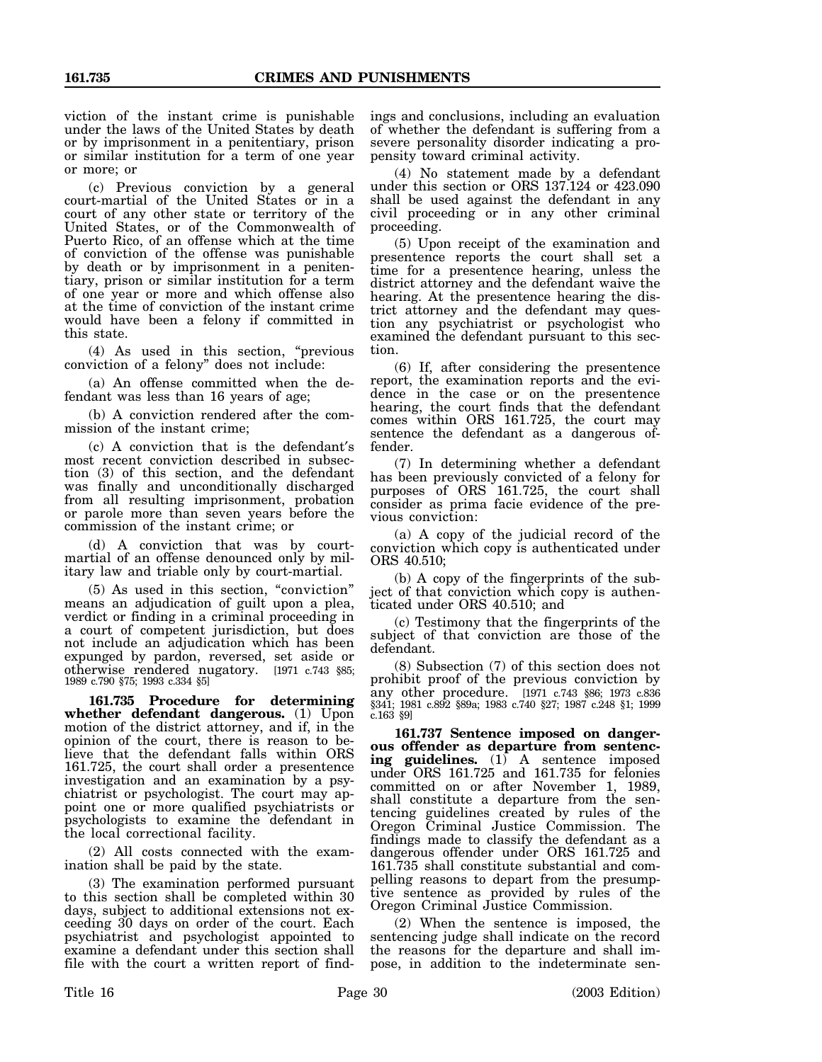viction of the instant crime is punishable under the laws of the United States by death or by imprisonment in a penitentiary, prison or similar institution for a term of one year or more; or

(c) Previous conviction by a general court-martial of the United States or in a court of any other state or territory of the United States, or of the Commonwealth of Puerto Rico, of an offense which at the time of conviction of the offense was punishable by death or by imprisonment in a penitentiary, prison or similar institution for a term of one year or more and which offense also at the time of conviction of the instant crime would have been a felony if committed in this state.

(4) As used in this section, "previous conviction of a felony" does not include:

(a) An offense committed when the defendant was less than 16 years of age;

(b) A conviction rendered after the commission of the instant crime;

(c) A conviction that is the defendant′s most recent conviction described in subsection (3) of this section, and the defendant was finally and unconditionally discharged from all resulting imprisonment, probation or parole more than seven years before the commission of the instant crime; or

(d) A conviction that was by courtmartial of an offense denounced only by military law and triable only by court-martial.

(5) As used in this section, "conviction" means an adjudication of guilt upon a plea, verdict or finding in a criminal proceeding in a court of competent jurisdiction, but does not include an adjudication which has been expunged by pardon, reversed, set aside or otherwise rendered nugatory. [1971 c.743 §85; 1989 c.790 §75; 1993 c.334 §5]

**161.735 Procedure for determining whether defendant dangerous.** (1) Upon motion of the district attorney, and if, in the opinion of the court, there is reason to believe that the defendant falls within ORS 161.725, the court shall order a presentence investigation and an examination by a psychiatrist or psychologist. The court may appoint one or more qualified psychiatrists or psychologists to examine the defendant in the local correctional facility.

(2) All costs connected with the examination shall be paid by the state.

(3) The examination performed pursuant to this section shall be completed within 30 days, subject to additional extensions not exceeding 30 days on order of the court. Each psychiatrist and psychologist appointed to examine a defendant under this section shall file with the court a written report of findings and conclusions, including an evaluation of whether the defendant is suffering from a severe personality disorder indicating a propensity toward criminal activity.

(4) No statement made by a defendant under this section or ORS 137.124 or 423.090 shall be used against the defendant in any civil proceeding or in any other criminal proceeding.

(5) Upon receipt of the examination and presentence reports the court shall set a time for a presentence hearing, unless the district attorney and the defendant waive the hearing. At the presentence hearing the district attorney and the defendant may question any psychiatrist or psychologist who examined the defendant pursuant to this section.

(6) If, after considering the presentence report, the examination reports and the evidence in the case or on the presentence hearing, the court finds that the defendant comes within ORS 161.725, the court may sentence the defendant as a dangerous offender.

(7) In determining whether a defendant has been previously convicted of a felony for purposes of ORS 161.725, the court shall consider as prima facie evidence of the previous conviction:

(a) A copy of the judicial record of the conviction which copy is authenticated under ORS 40.510;

(b) A copy of the fingerprints of the subject of that conviction which copy is authenticated under ORS 40.510; and

(c) Testimony that the fingerprints of the subject of that conviction are those of the defendant.

(8) Subsection (7) of this section does not prohibit proof of the previous conviction by any other procedure. [1971 c.743 §86; 1973 c.836 §341; 1981 c.892 §89a; 1983 c.740 §27; 1987 c.248 §1; 1999 c.163 §9]

**161.737 Sentence imposed on dangerous offender as departure from sentencing guidelines.** (1) A sentence imposed under ORS 161.725 and 161.735 for felonies committed on or after November 1, 1989, shall constitute a departure from the sentencing guidelines created by rules of the Oregon Criminal Justice Commission. The findings made to classify the defendant as a dangerous offender under ORS 161.725 and 161.735 shall constitute substantial and compelling reasons to depart from the presumptive sentence as provided by rules of the Oregon Criminal Justice Commission.

(2) When the sentence is imposed, the sentencing judge shall indicate on the record the reasons for the departure and shall impose, in addition to the indeterminate sen